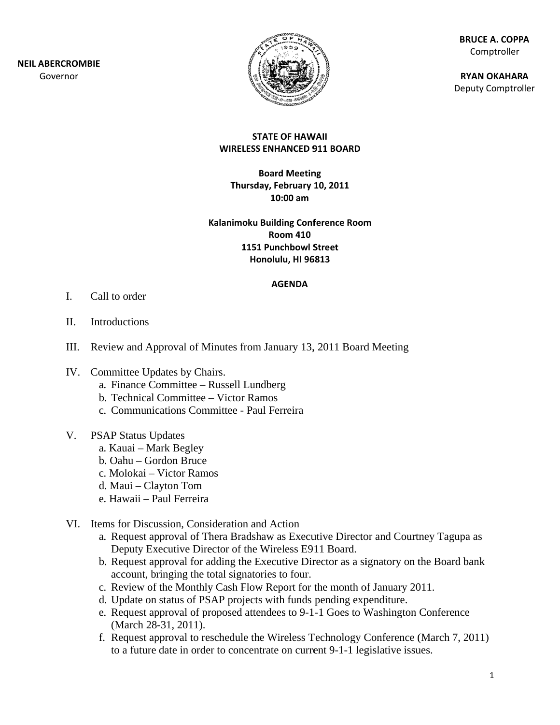

**BR RUCE A. COPP PA** Comptroller

**RY YAN OKAHAR A** Deputy Comptroller

#### **ST TATE OF HAW WAII WIRELESS ENHANCED 9 911 BOARD**

**B Board Meetin ng Thursda ay, February 10, 2011 10:00 am**

**Kalanimoku B Building Conf ference Room m1151 Punchbowl S Street Ho nolulu, HI 96 6813 Room 410**

#### **AGENDA**

- I. Call to order
- II. Introductions
- III. Review and Approval of Minutes from January 13, 2011 Board Meeting
- IV. Committee Updates by Chairs.
	- a. Finance Committee Russell Lundberg
	- b. Technical Committee Victor Ramos
	- c. Communications Committee Paul Ferreira
- V. PSAP Status Updates
	- a. Kauai Mark Begley
	- b. Oahu Gordon Bruce
	- c. Molokai Victor Ramos
	- d. Maui Clayton Tom
	- e. . Hawaii P Paul Ferreira
- VI. Items for Discussion, Consideration and Action
	- a. Request approval of Thera Bradshaw as Executive Director and Courtney Tagupa as Deputy Executive Director of the Wireless E911 Board.
	- b. Request approval for adding the Executive Director as a signatory on the Board bank account, bringing the total signatories to four.
	- c. Review of the Monthly Cash Flow Report for the month of January 2011.
	- d . Update on status of PS SAP projects s with funds pending exp penditure.
	- e. Request approval of proposed attendees to 9-1-1 Goes to Washington Conference (March 28-31, 2011).
	- f. Request approval to reschedule the Wireless Technology Conference (March 7, 2011) to a future date in order to concentrate on current 9-1-1 legislative issues.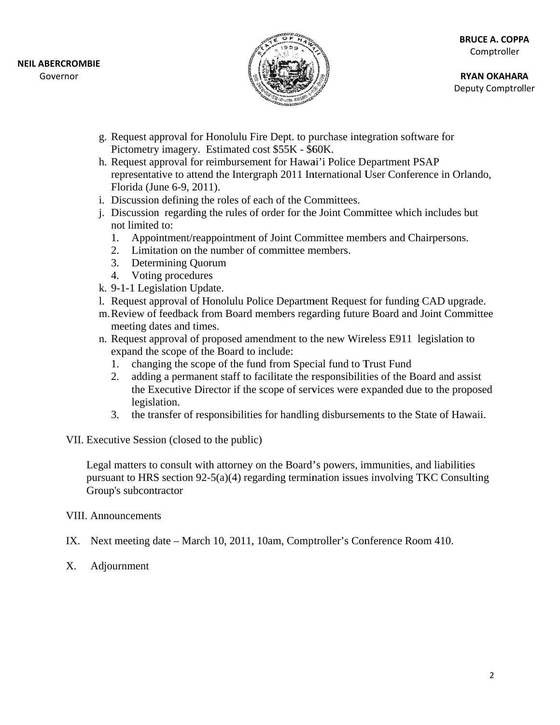

**RY YAN OKAHAR A** Deputy Comptroller

- g. Request approval for Honolulu Fire Dept. to purchase integration software for Pictometry imagery. Estimated cost \$55K - \$60K.
- h. Request approval for reimbursement for Hawai'i Police Department PSAP representative to attend the Intergraph 2011 International User Conference in Orlando, Florida (June 6-9, 2011).
- i. Discussion defining the roles of each of the Committees.
- j. Discussion regarding the rules of order for the Joint Committee which includes but not limited d to:
	- 1. Appointment/reappointment of Joint Committee members and Chairpersons.
	- 2. Limitation on the number of committee members.
	- 3. Determining Quorum
	- 4. Votin g procedure s
- k. 9-1-1 Legislation Update.
- 1. Request approval of Honolulu Police Department Request for funding CAD upgrade.
- m. Review of feedback from Board members regarding future Board and Joint Committee meeting dates and times.
- n. Request approval of proposed amendment to the new Wireless E911 legislation to expand the scope of the Board to include: Request approval of proposed amendment to the new Wireless E911 legislation to<br>
expand the scope of the Board to include:<br>
1. changing the scope of the fund from Special fund to Trust Fund<br>
2. adding a permanent staff to f
	- 1. changing the scope of the fund from Special fund to Trust Fund
	- the Executive Director if the scope of services were expanded due to the proposed legislation.
	- 3. the transfer of responsibilities for handling disbursements to the State of Hawaii.

VII. Executive Session (closed to the public)

Executive Session (closed to the public)<br>Legal matters to consult with attorney on the Board's powers, immunities, and liabilities pursuant to HRS section 92-5(a)(4) regarding termination issues involving TKC Consulting Group's subcontractor

### VIII. Announcements

- IX. Next meeting date March 10, 2011, 10am, Comptroller's Conference Room 410.
- X. Adj journment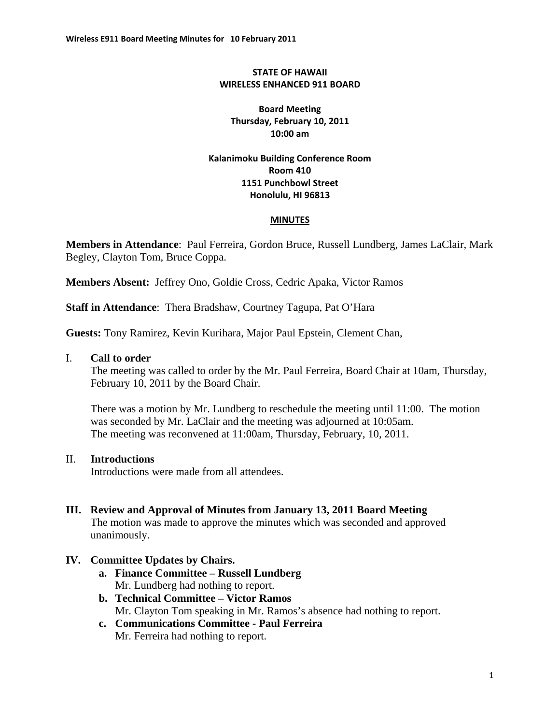#### **STATE OF HAWAII WIRELESS ENHANCED 911 BOARD**

**Board Meeting Thursday, February 10, 2011 10:00 am**

#### **Kalanimoku Building Conference Room Room 410 1151 Punchbowl Street Honolulu, HI 96813**

#### **MINUTES**

**Members in Attendance**: Paul Ferreira, Gordon Bruce, Russell Lundberg, James LaClair, Mark Begley, Clayton Tom, Bruce Coppa.

**Members Absent:** Jeffrey Ono, Goldie Cross, Cedric Apaka, Victor Ramos

**Staff in Attendance**: Thera Bradshaw, Courtney Tagupa, Pat O'Hara

**Guests:** Tony Ramirez, Kevin Kurihara, Major Paul Epstein, Clement Chan,

#### I. **Call to order**

The meeting was called to order by the Mr. Paul Ferreira, Board Chair at 10am, Thursday, February 10, 2011 by the Board Chair.

There was a motion by Mr. Lundberg to reschedule the meeting until 11:00. The motion was seconded by Mr. LaClair and the meeting was adjourned at 10:05am. The meeting was reconvened at 11:00am, Thursday, February, 10, 2011.

#### II. **Introductions**

Introductions were made from all attendees.

## **III. Review and Approval of Minutes from January 13, 2011 Board Meeting**

The motion was made to approve the minutes which was seconded and approved unanimously.

#### **IV. Committee Updates by Chairs.**

- **a. Finance Committee Russell Lundberg**  Mr. Lundberg had nothing to report.
- **b. Technical Committee Victor Ramos**  Mr. Clayton Tom speaking in Mr. Ramos's absence had nothing to report.
- **c. Communications Committee Paul Ferreira**  Mr. Ferreira had nothing to report.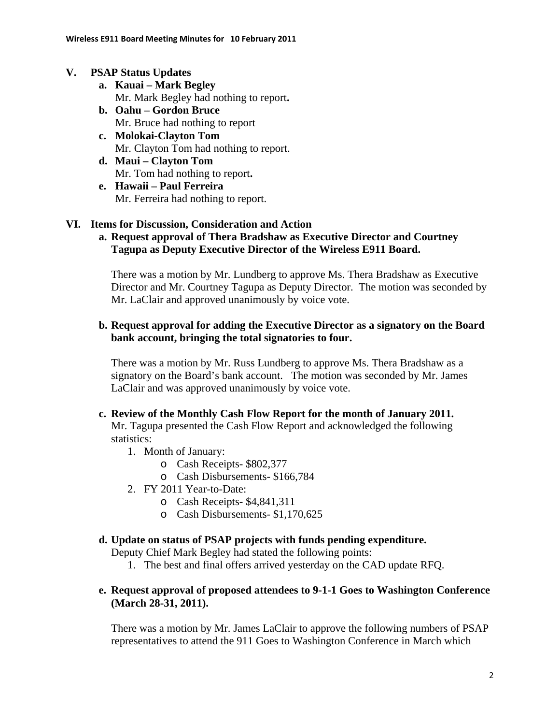#### **V. PSAP Status Updates**

- **a. Kauai Mark Begley**  Mr. Mark Begley had nothing to report**.**
- **b. Oahu Gordon Bruce**  Mr. Bruce had nothing to report
- **c. Molokai-Clayton Tom**  Mr. Clayton Tom had nothing to report.
- **d. Maui Clayton Tom**  Mr. Tom had nothing to report**.**
- **e. Hawaii Paul Ferreira**  Mr. Ferreira had nothing to report.

### **VI. Items for Discussion, Consideration and Action**

**a. Request approval of Thera Bradshaw as Executive Director and Courtney Tagupa as Deputy Executive Director of the Wireless E911 Board.** 

There was a motion by Mr. Lundberg to approve Ms. Thera Bradshaw as Executive Director and Mr. Courtney Tagupa as Deputy Director. The motion was seconded by Mr. LaClair and approved unanimously by voice vote.

#### **b. Request approval for adding the Executive Director as a signatory on the Board bank account, bringing the total signatories to four.**

There was a motion by Mr. Russ Lundberg to approve Ms. Thera Bradshaw as a signatory on the Board's bank account. The motion was seconded by Mr. James LaClair and was approved unanimously by voice vote.

### **c. Review of the Monthly Cash Flow Report for the month of January 2011.**

Mr. Tagupa presented the Cash Flow Report and acknowledged the following statistics:

- 1. Month of January:
	- o Cash Receipts- \$802,377
	- o Cash Disbursements- \$166,784
- 2. FY 2011 Year-to-Date:
	- o Cash Receipts- \$4,841,311
	- o Cash Disbursements- \$1,170,625

#### **d. Update on status of PSAP projects with funds pending expenditure.**

Deputy Chief Mark Begley had stated the following points:

1. The best and final offers arrived yesterday on the CAD update RFQ.

### **e. Request approval of proposed attendees to 9-1-1 Goes to Washington Conference (March 28-31, 2011).**

There was a motion by Mr. James LaClair to approve the following numbers of PSAP representatives to attend the 911 Goes to Washington Conference in March which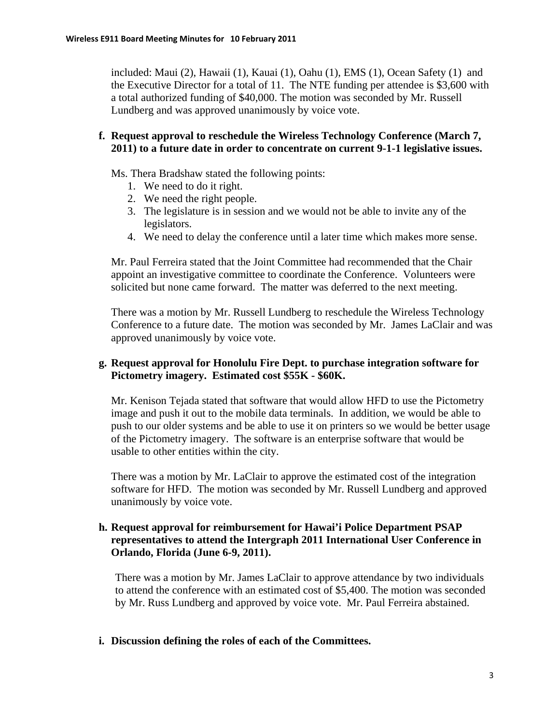included: Maui (2), Hawaii (1), Kauai (1), Oahu (1), EMS (1), Ocean Safety (1) and the Executive Director for a total of 11. The NTE funding per attendee is \$3,600 with a total authorized funding of \$40,000. The motion was seconded by Mr. Russell Lundberg and was approved unanimously by voice vote.

#### **f. Request approval to reschedule the Wireless Technology Conference (March 7, 2011) to a future date in order to concentrate on current 9-1-1 legislative issues.**

Ms. Thera Bradshaw stated the following points:

- 1. We need to do it right.
- 2. We need the right people.
- 3. The legislature is in session and we would not be able to invite any of the legislators.
- 4. We need to delay the conference until a later time which makes more sense.

Mr. Paul Ferreira stated that the Joint Committee had recommended that the Chair appoint an investigative committee to coordinate the Conference. Volunteers were solicited but none came forward. The matter was deferred to the next meeting.

There was a motion by Mr. Russell Lundberg to reschedule the Wireless Technology Conference to a future date. The motion was seconded by Mr. James LaClair and was approved unanimously by voice vote.

#### **g. Request approval for Honolulu Fire Dept. to purchase integration software for Pictometry imagery. Estimated cost \$55K - \$60K.**

Mr. Kenison Tejada stated that software that would allow HFD to use the Pictometry image and push it out to the mobile data terminals. In addition, we would be able to push to our older systems and be able to use it on printers so we would be better usage of the Pictometry imagery. The software is an enterprise software that would be usable to other entities within the city.

There was a motion by Mr. LaClair to approve the estimated cost of the integration software for HFD. The motion was seconded by Mr. Russell Lundberg and approved unanimously by voice vote.

#### **h. Request approval for reimbursement for Hawai'i Police Department PSAP representatives to attend the Intergraph 2011 International User Conference in Orlando, Florida (June 6-9, 2011).**

There was a motion by Mr. James LaClair to approve attendance by two individuals to attend the conference with an estimated cost of \$5,400. The motion was seconded by Mr. Russ Lundberg and approved by voice vote. Mr. Paul Ferreira abstained.

#### **i. Discussion defining the roles of each of the Committees.**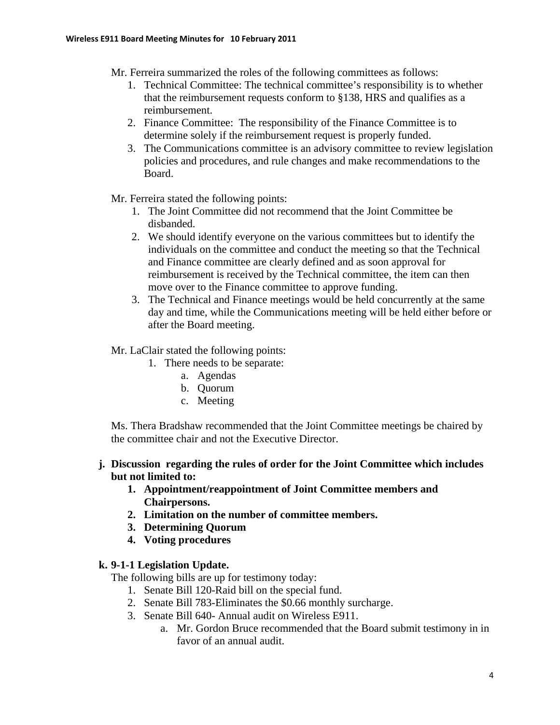- Mr. Ferreira summarized the roles of the following committees as follows:
	- 1. Technical Committee: The technical committee's responsibility is to whether that the reimbursement requests conform to §138, HRS and qualifies as a reimbursement.
	- 2. Finance Committee: The responsibility of the Finance Committee is to determine solely if the reimbursement request is properly funded.
	- 3. The Communications committee is an advisory committee to review legislation policies and procedures, and rule changes and make recommendations to the Board.
- Mr. Ferreira stated the following points:
	- 1. The Joint Committee did not recommend that the Joint Committee be disbanded.
	- 2. We should identify everyone on the various committees but to identify the individuals on the committee and conduct the meeting so that the Technical and Finance committee are clearly defined and as soon approval for reimbursement is received by the Technical committee, the item can then move over to the Finance committee to approve funding.
	- 3. The Technical and Finance meetings would be held concurrently at the same day and time, while the Communications meeting will be held either before or after the Board meeting.

Mr. LaClair stated the following points:

- 1. There needs to be separate:
	- a. Agendas
	- b. Quorum
	- c. Meeting

Ms. Thera Bradshaw recommended that the Joint Committee meetings be chaired by the committee chair and not the Executive Director.

### **j. Discussion regarding the rules of order for the Joint Committee which includes but not limited to:**

- **1. Appointment/reappointment of Joint Committee members and Chairpersons.**
- **2. Limitation on the number of committee members.**
- **3. Determining Quorum**
- **4. Voting procedures**

#### **k. 9-1-1 Legislation Update.**

The following bills are up for testimony today:

- 1. Senate Bill 120-Raid bill on the special fund.
- 2. Senate Bill 783-Eliminates the \$0.66 monthly surcharge.
- 3. Senate Bill 640- Annual audit on Wireless E911.
	- a. Mr. Gordon Bruce recommended that the Board submit testimony in in favor of an annual audit.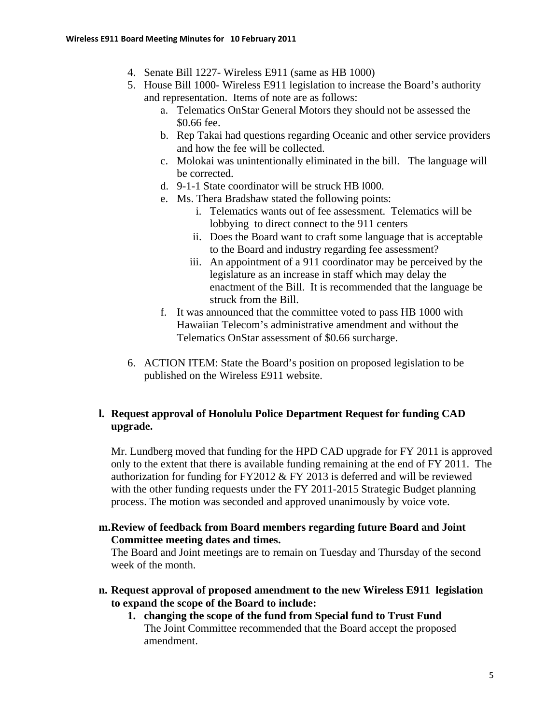- 4. Senate Bill 1227- Wireless E911 (same as HB 1000)
- 5. House Bill 1000- Wireless E911 legislation to increase the Board's authority and representation. Items of note are as follows:
	- a. Telematics OnStar General Motors they should not be assessed the \$0.66 fee.
	- b. Rep Takai had questions regarding Oceanic and other service providers and how the fee will be collected.
	- c. Molokai was unintentionally eliminated in the bill. The language will be corrected.
	- d. 9-1-1 State coordinator will be struck HB l000.
	- e. Ms. Thera Bradshaw stated the following points:
		- i. Telematics wants out of fee assessment. Telematics will be lobbying to direct connect to the 911 centers
		- ii. Does the Board want to craft some language that is acceptable to the Board and industry regarding fee assessment?
		- iii. An appointment of a 911 coordinator may be perceived by the legislature as an increase in staff which may delay the enactment of the Bill. It is recommended that the language be struck from the Bill.
	- f. It was announced that the committee voted to pass HB 1000 with Hawaiian Telecom's administrative amendment and without the Telematics OnStar assessment of \$0.66 surcharge.
- 6. ACTION ITEM: State the Board's position on proposed legislation to be published on the Wireless E911 website.

### **l. Request approval of Honolulu Police Department Request for funding CAD upgrade.**

Mr. Lundberg moved that funding for the HPD CAD upgrade for FY 2011 is approved only to the extent that there is available funding remaining at the end of FY 2011. The authorization for funding for FY2012 & FY 2013 is deferred and will be reviewed with the other funding requests under the FY 2011-2015 Strategic Budget planning process. The motion was seconded and approved unanimously by voice vote.

**m.Review of feedback from Board members regarding future Board and Joint Committee meeting dates and times.** 

The Board and Joint meetings are to remain on Tuesday and Thursday of the second week of the month.

- **n. Request approval of proposed amendment to the new Wireless E911 legislation to expand the scope of the Board to include:** 
	- **1. changing the scope of the fund from Special fund to Trust Fund**  The Joint Committee recommended that the Board accept the proposed amendment.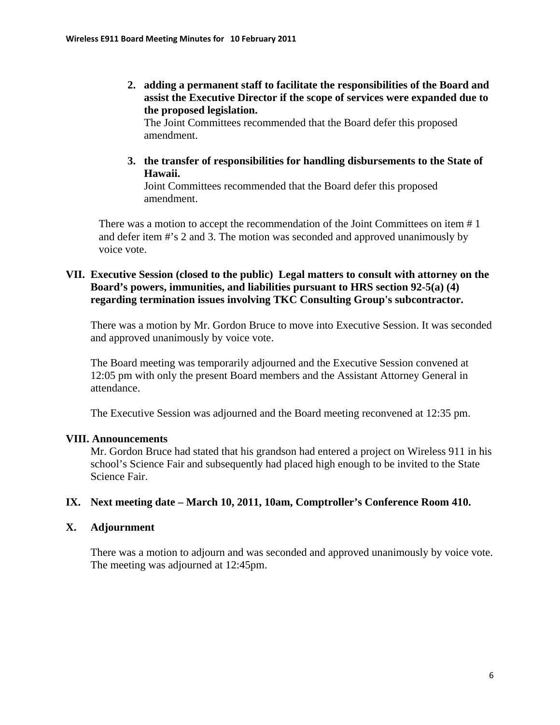**2. adding a permanent staff to facilitate the responsibilities of the Board and assist the Executive Director if the scope of services were expanded due to the proposed legislation.** 

The Joint Committees recommended that the Board defer this proposed amendment.

**3. the transfer of responsibilities for handling disbursements to the State of Hawaii.** 

Joint Committees recommended that the Board defer this proposed amendment.

There was a motion to accept the recommendation of the Joint Committees on item # 1 and defer item #'s 2 and 3. The motion was seconded and approved unanimously by voice vote.

### **VII. Executive Session (closed to the public) Legal matters to consult with attorney on the Board's powers, immunities, and liabilities pursuant to HRS section 92-5(a) (4) regarding termination issues involving TKC Consulting Group's subcontractor.**

There was a motion by Mr. Gordon Bruce to move into Executive Session. It was seconded and approved unanimously by voice vote.

The Board meeting was temporarily adjourned and the Executive Session convened at 12:05 pm with only the present Board members and the Assistant Attorney General in attendance.

The Executive Session was adjourned and the Board meeting reconvened at 12:35 pm.

#### **VIII. Announcements**

Mr. Gordon Bruce had stated that his grandson had entered a project on Wireless 911 in his school's Science Fair and subsequently had placed high enough to be invited to the State Science Fair.

#### **IX. Next meeting date – March 10, 2011, 10am, Comptroller's Conference Room 410.**

#### **X. Adjournment**

There was a motion to adjourn and was seconded and approved unanimously by voice vote. The meeting was adjourned at 12:45pm.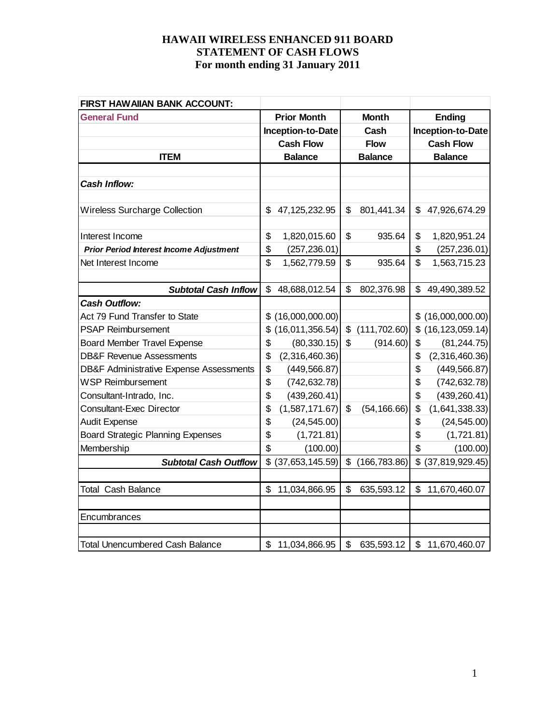| FIRST HAW AIIAN BANK ACCOUNT:                      |    |                    |               |                |    |                   |
|----------------------------------------------------|----|--------------------|---------------|----------------|----|-------------------|
| <b>General Fund</b>                                |    | <b>Prior Month</b> | <b>Month</b>  |                |    | <b>Ending</b>     |
|                                                    |    | Inception-to-Date  |               | Cash           |    | Inception-to-Date |
|                                                    |    | <b>Cash Flow</b>   |               | <b>Flow</b>    |    | <b>Cash Flow</b>  |
| <b>ITEM</b>                                        |    | <b>Balance</b>     |               | <b>Balance</b> |    | <b>Balance</b>    |
|                                                    |    |                    |               |                |    |                   |
| <b>Cash Inflow:</b>                                |    |                    |               |                |    |                   |
|                                                    |    |                    |               |                |    |                   |
| <b>Wireless Surcharge Collection</b>               | \$ | 47, 125, 232. 95   | \$            | 801,441.34     | \$ | 47,926,674.29     |
|                                                    |    |                    |               |                |    |                   |
| Interest Income                                    | \$ | 1,820,015.60       | \$            | 935.64         | \$ | 1,820,951.24      |
| <b>Prior Period Interest Income Adjustment</b>     | \$ | (257, 236.01)      |               |                | \$ | (257, 236.01)     |
| Net Interest Income                                | \$ | 1,562,779.59       | \$            | 935.64         | \$ | 1,563,715.23      |
|                                                    |    |                    |               |                |    |                   |
| <b>Subtotal Cash Inflow</b>                        | \$ | 48,688,012.54      | \$            | 802,376.98     | \$ | 49,490,389.52     |
| <b>Cash Outflow:</b>                               |    |                    |               |                |    |                   |
| Act 79 Fund Transfer to State                      | \$ | (16,000,000.00)    |               |                |    | (16,000,000.00)   |
| <b>PSAP Reimbursement</b>                          | \$ | (16,011,356.54)    | $\mathcal{L}$ | (111, 702.60)  | \$ | (16, 123, 059.14) |
| <b>Board Member Travel Expense</b>                 | \$ | (80, 330.15)       | \$            | (914.60)       | \$ | (81, 244.75)      |
| <b>DB&amp;F Revenue Assessments</b>                | \$ | (2,316,460.36)     |               |                | \$ | (2,316,460.36)    |
| <b>DB&amp;F Administrative Expense Assessments</b> | \$ | (449, 566.87)      |               |                | \$ | (449, 566.87)     |
| <b>WSP Reimbursement</b>                           | \$ | (742, 632.78)      |               |                | \$ | (742, 632.78)     |
| Consultant-Intrado, Inc.                           | \$ | (439, 260.41)      |               |                | \$ | (439, 260.41)     |
| <b>Consultant-Exec Director</b>                    | \$ | (1,587,171.67)     | \$            | (54, 166.66)   | \$ | (1,641,338.33)    |
| <b>Audit Expense</b>                               | \$ | (24, 545.00)       |               |                | \$ | (24, 545.00)      |
| <b>Board Strategic Planning Expenses</b>           | \$ | (1,721.81)         |               |                | \$ | (1,721.81)        |
| Membership                                         | \$ | (100.00)           |               |                | \$ | (100.00)          |
| <b>Subtotal Cash Outflow</b>                       | \$ | (37,653,145.59)    | \$            | (166, 783.86)  | \$ | (37, 819, 929.45) |
|                                                    |    |                    |               |                |    |                   |
| <b>Total Cash Balance</b>                          | \$ | 11,034,866.95      | \$            | 635,593.12     | \$ | 11,670,460.07     |
|                                                    |    |                    |               |                |    |                   |
| Encumbrances                                       |    |                    |               |                |    |                   |
|                                                    |    |                    |               |                |    |                   |
| <b>Total Unencumbered Cash Balance</b>             | \$ | 11,034,866.95      | \$            | 635,593.12     |    | \$11,670,460.07   |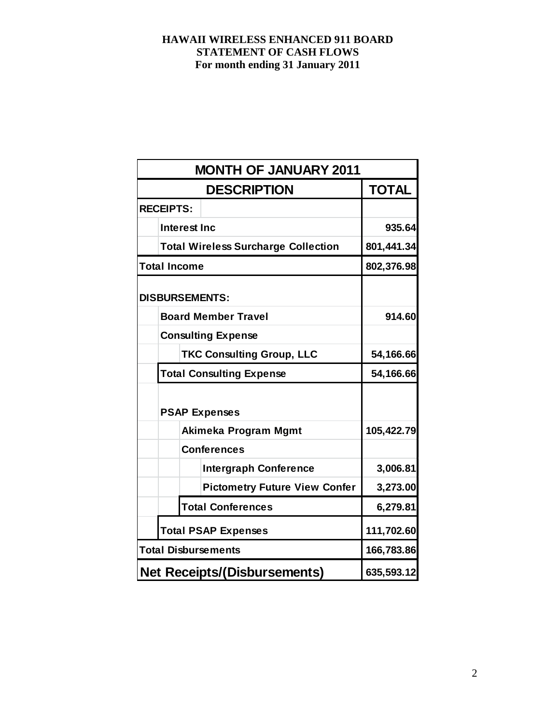| <b>MONTH OF JANUARY 2011</b>               |              |  |  |  |  |  |
|--------------------------------------------|--------------|--|--|--|--|--|
| <b>DESCRIPTION</b>                         | <b>TOTAL</b> |  |  |  |  |  |
| <b>RECEIPTS:</b>                           |              |  |  |  |  |  |
| <b>Interest Inc</b>                        | 935.64       |  |  |  |  |  |
| <b>Total Wireless Surcharge Collection</b> | 801,441.34   |  |  |  |  |  |
| <b>Total Income</b>                        | 802,376.98   |  |  |  |  |  |
| <b>DISBURSEMENTS:</b>                      |              |  |  |  |  |  |
| <b>Board Member Travel</b>                 | 914.60       |  |  |  |  |  |
| <b>Consulting Expense</b>                  |              |  |  |  |  |  |
| <b>TKC Consulting Group, LLC</b>           | 54,166.66    |  |  |  |  |  |
| <b>Total Consulting Expense</b>            | 54,166.66    |  |  |  |  |  |
| <b>PSAP Expenses</b>                       |              |  |  |  |  |  |
| Akimeka Program Mgmt                       | 105,422.79   |  |  |  |  |  |
| <b>Conferences</b>                         |              |  |  |  |  |  |
| <b>Intergraph Conference</b>               | 3,006.81     |  |  |  |  |  |
| <b>Pictometry Future View Confer</b>       | 3,273.00     |  |  |  |  |  |
| <b>Total Conferences</b>                   | 6,279.81     |  |  |  |  |  |
| <b>Total PSAP Expenses</b>                 | 111,702.60   |  |  |  |  |  |
| <b>Total Disbursements</b>                 | 166,783.86   |  |  |  |  |  |
| <b>Net Receipts/(Disbursements)</b>        | 635,593.12   |  |  |  |  |  |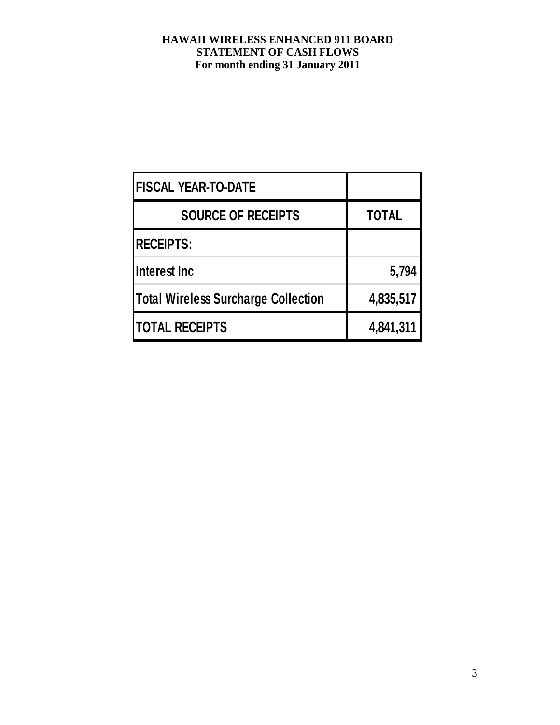| <b>FISCAL YEAR-TO-DATE</b>          |              |
|-------------------------------------|--------------|
| <b>SOURCE OF RECEIPTS</b>           | <b>TOTAL</b> |
| <b>RECEIPTS:</b>                    |              |
| Interest Inc                        | 5,794        |
| Total Wireless Surcharge Collection | 4,835,517    |
| <b>TOTAL RECEIPTS</b>               | 4,841,311    |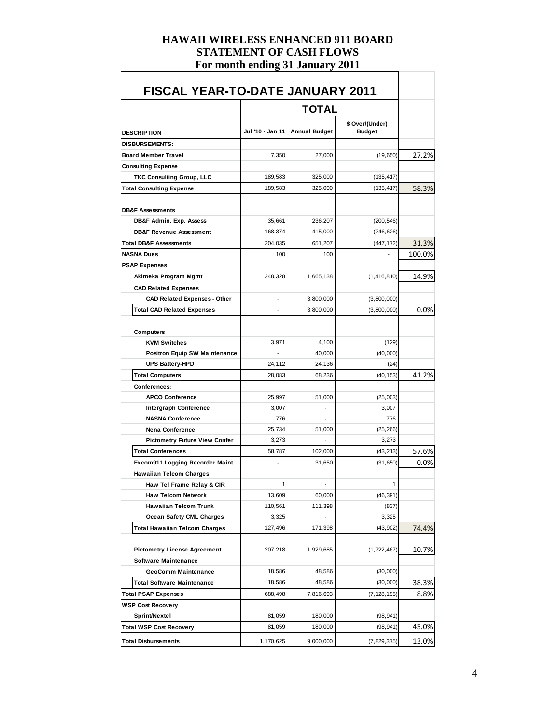| <b>DESCRIPTION</b>                     | Jul '10 - Jan 11         | <b>Annual Budget</b> | \$ Over/(Under)<br><b>Budget</b> |        |
|----------------------------------------|--------------------------|----------------------|----------------------------------|--------|
| <b>DISBURSEMENTS:</b>                  |                          |                      |                                  |        |
| <b>Board Member Travel</b>             | 7,350                    | 27,000               | (19, 650)                        | 27.2%  |
| <b>Consulting Expense</b>              |                          |                      |                                  |        |
| <b>TKC Consulting Group, LLC</b>       | 189,583                  | 325,000              | (135, 417)                       |        |
| <b>Total Consulting Expense</b>        | 189,583                  | 325,000              | (135, 417)                       | 58.3%  |
| <b>DB&amp;F Assessments</b>            |                          |                      |                                  |        |
| DB&F Admin. Exp. Assess                | 35,661                   | 236,207              | (200, 546)                       |        |
| <b>DB&amp;F Revenue Assessment</b>     | 168,374                  | 415,000              | (246, 626)                       |        |
| <b>Total DB&amp;F Assessments</b>      | 204,035                  | 651,207              | (447, 172)                       | 31.3%  |
| <b>NASNA Dues</b>                      | 100                      | 100                  |                                  | 100.0% |
| <b>PSAP Expenses</b>                   |                          |                      |                                  |        |
| Akimeka Program Mgmt                   | 248,328                  | 1,665,138            | (1, 416, 810)                    | 14.9%  |
| <b>CAD Related Expenses</b>            |                          |                      |                                  |        |
| <b>CAD Related Expenses - Other</b>    | -                        | 3,800,000            | (3,800,000)                      |        |
| <b>Total CAD Related Expenses</b>      | $\overline{\phantom{0}}$ | 3,800,000            | (3,800,000)                      | 0.0%   |
|                                        |                          |                      |                                  |        |
| <b>Computers</b>                       |                          |                      |                                  |        |
| <b>KVM Switches</b>                    | 3,971                    | 4,100                | (129)                            |        |
| <b>Positron Equip SW Maintenance</b>   |                          | 40,000               | (40,000)                         |        |
| <b>UPS Battery-HPD</b>                 | 24,112                   | 24,136               | (24)                             |        |
| <b>Total Computers</b>                 | 28,083                   | 68,236               | (40, 153)                        | 41.2%  |
| <b>Conferences:</b>                    |                          |                      |                                  |        |
| <b>APCO Conference</b>                 | 25,997                   | 51,000               | (25,003)                         |        |
| <b>Intergraph Conference</b>           | 3,007                    |                      | 3,007                            |        |
| <b>NASNA Conference</b>                | 776                      |                      | 776                              |        |
| <b>Nena Conference</b>                 | 25,734                   | 51,000               | (25, 266)                        |        |
| <b>Pictometry Future View Confer</b>   | 3.273                    |                      | 3,273                            |        |
| <b>Total Conferences</b>               | 58,787                   | 102,000              | (43, 213)                        | 57.6%  |
| <b>Excom911 Logging Recorder Maint</b> | ٠                        | 31,650               | (31, 650)                        | 0.0%   |
| <b>Hawaiian Telcom Charges</b>         |                          |                      |                                  |        |
| Haw Tel Frame Relay & CIR              | 1                        |                      | 1                                |        |
| <b>Haw Telcom Network</b>              | 13,609                   | 60,000               | (46, 391)                        |        |
| <b>Hawaiian Telcom Trunk</b>           | 110,561                  | 111,398              | (837)                            |        |
| <b>Ocean Safety CML Charges</b>        | 3,325                    |                      | 3,325                            |        |
| <b>Total Hawaiian Telcom Charges</b>   | 127,496                  | 171,398              | (43,902)                         | 74.4%  |
| <b>Pictometry License Agreement</b>    | 207,218                  | 1,929,685            | (1,722,467)                      | 10.7%  |
| <b>Software Maintenance</b>            |                          |                      |                                  |        |
| <b>GeoComm Maintenance</b>             | 18,586                   | 48,586               | (30,000)                         |        |
| <b>Total Software Maintenance</b>      | 18,586                   | 48,586               | (30,000)                         | 38.3%  |
| <b>Total PSAP Expenses</b>             | 688,498                  | 7,816,693            | (7, 128, 195)                    | 8.8%   |
| <b>WSP Cost Recovery</b>               |                          |                      |                                  |        |
| Sprint/Nextel                          | 81,059                   | 180,000              | (98, 941)                        |        |
| <b>Total WSP Cost Recovery</b>         | 81,059                   | 180,000              | (98, 941)                        | 45.0%  |
|                                        |                          |                      |                                  |        |
| <b>Total Disbursements</b>             | 1,170,625                | 9,000,000            | (7,829,375)                      | 13.0%  |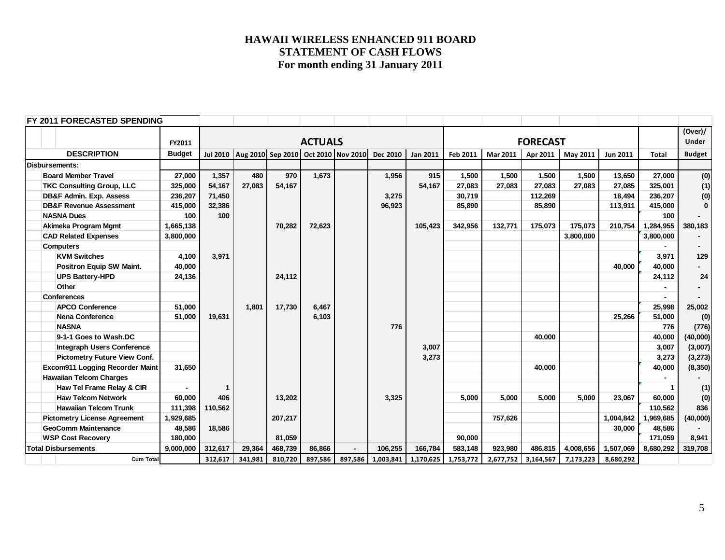| FY 2011 FORECASTED SPENDING         |               |         |                                |         |                |                   |           |                 |                 |           |           |           |                 |              |               |
|-------------------------------------|---------------|---------|--------------------------------|---------|----------------|-------------------|-----------|-----------------|-----------------|-----------|-----------|-----------|-----------------|--------------|---------------|
|                                     |               |         |                                |         |                |                   |           |                 |                 |           |           |           |                 |              | (Over)/       |
|                                     | FY2011        |         |                                |         | <b>ACTUALS</b> |                   |           |                 | <b>FORECAST</b> |           |           |           |                 |              | <b>Under</b>  |
| <b>DESCRIPTION</b>                  | <b>Budget</b> |         | Jul 2010   Aug 2010   Sep 2010 |         |                | Oct 2010 Nov 2010 | Dec 2010  | <b>Jan 2011</b> | Feb 2011        | Mar 2011  | Apr 2011  | May 2011  | <b>Jun 2011</b> | <b>Total</b> | <b>Budget</b> |
| Disbursements:                      |               |         |                                |         |                |                   |           |                 |                 |           |           |           |                 |              |               |
| <b>Board Member Travel</b>          | 27,000        | 1,357   | 480                            | 970     | 1,673          |                   | 1,956     | 915             | 1,500           | 1,500     | 1,500     | 1,500     | 13,650          | 27,000       | (0)           |
| <b>TKC Consulting Group, LLC</b>    | 325,000       | 54,167  | 27.083                         | 54,167  |                |                   |           | 54,167          | 27,083          | 27,083    | 27,083    | 27.083    | 27,085          | 325,001      | (1)           |
| <b>DB&amp;F Admin. Exp. Assess</b>  | 236,207       | 71,450  |                                |         |                |                   | 3,275     |                 | 30,719          |           | 112,269   |           | 18,494          | 236,207      | (0)           |
| <b>DB&amp;F Revenue Assessment</b>  | 415,000       | 32,386  |                                |         |                |                   | 96,923    |                 | 85,890          |           | 85,890    |           | 113,911         | 415,000      | $\mathbf{0}$  |
| <b>NASNA Dues</b>                   | 100           | 100     |                                |         |                |                   |           |                 |                 |           |           |           |                 | 100          |               |
| Akimeka Program Mgmt                | 1,665,138     |         |                                | 70,282  | 72,623         |                   |           | 105,423         | 342,956         | 132,771   | 175,073   | 175,073   | 210,754         | 1,284,955    | 380,183       |
| <b>CAD Related Expenses</b>         | 3,800,000     |         |                                |         |                |                   |           |                 |                 |           |           | 3,800,000 |                 | 3,800,000    |               |
| <b>Computers</b>                    |               |         |                                |         |                |                   |           |                 |                 |           |           |           |                 |              |               |
| <b>KVM Switches</b>                 | 4.100         | 3,971   |                                |         |                |                   |           |                 |                 |           |           |           |                 | 3.971        | 129           |
| <b>Positron Equip SW Maint.</b>     | 40,000        |         |                                |         |                |                   |           |                 |                 |           |           |           | 40.000          | 40,000       |               |
| <b>UPS Battery-HPD</b>              | 24,136        |         |                                | 24,112  |                |                   |           |                 |                 |           |           |           |                 | 24,112       | 24            |
| Other                               |               |         |                                |         |                |                   |           |                 |                 |           |           |           |                 |              |               |
| <b>Conferences</b>                  |               |         |                                |         |                |                   |           |                 |                 |           |           |           |                 |              |               |
| <b>APCO Conference</b>              | 51.000        |         | 1.801                          | 17,730  | 6,467          |                   |           |                 |                 |           |           |           |                 | 25,998       | 25,002        |
| Nena Conference                     | 51,000        | 19,631  |                                |         | 6,103          |                   |           |                 |                 |           |           |           | 25,266          | 51,000       | (0)           |
| <b>NASNA</b>                        |               |         |                                |         |                |                   | 776       |                 |                 |           |           |           |                 | 776          | (776)         |
| 9-1-1 Goes to Wash.DC               |               |         |                                |         |                |                   |           |                 |                 |           | 40,000    |           |                 | 40,000       | (40,000)      |
| <b>Integraph Users Conference</b>   |               |         |                                |         |                |                   |           | 3,007           |                 |           |           |           |                 | 3,007        | (3,007)       |
| <b>Pictometry Future View Conf.</b> |               |         |                                |         |                |                   |           | 3,273           |                 |           |           |           |                 | 3,273        | (3, 273)      |
| Excom911 Logging Recorder Maint     | 31.650        |         |                                |         |                |                   |           |                 |                 |           | 40.000    |           |                 | 40,000       | (8, 350)      |
| <b>Hawaiian Telcom Charges</b>      |               |         |                                |         |                |                   |           |                 |                 |           |           |           |                 |              |               |
| Haw Tel Frame Relay & CIR           |               |         |                                |         |                |                   |           |                 |                 |           |           |           |                 |              | (1)           |
| <b>Haw Telcom Network</b>           | 60,000        | 406     |                                | 13,202  |                |                   | 3,325     |                 | 5,000           | 5.000     | 5.000     | 5.000     | 23.067          | 60,000       | (0)           |
| <b>Hawaiian Telcom Trunk</b>        | 111,398       | 110,562 |                                |         |                |                   |           |                 |                 |           |           |           |                 | 110,562      | 836           |
| <b>Pictometry License Agreement</b> | 1,929,685     |         |                                | 207,217 |                |                   |           |                 |                 | 757,626   |           |           | 1,004,842       | ,969,685     | (40,000)      |
| <b>GeoComm Maintenance</b>          | 48,586        | 18,586  |                                |         |                |                   |           |                 |                 |           |           |           | 30,000          | 48,586       |               |
| <b>WSP Cost Recovery</b>            | 180,000       |         |                                | 81,059  |                |                   |           |                 | 90,000          |           |           |           |                 | 171,059      | 8,941         |
| <b>Total Disbursements</b>          | 9,000,000     | 312,617 | 29,364                         | 468,739 | 86,866         |                   | 106,255   | 166,784         | 583,148         | 923,980   | 486,815   | 4,008,656 | 1,507,069       | 8,680,292    | 319,708       |
| <b>Cum Total</b>                    |               | 312,617 | 341,981                        | 810,720 | 897,586        | 897,586           | 1,003,841 | 1,170,625       | 1,753,772       | 2,677,752 | 3,164,567 | 7,173,223 | 8,680,292       |              |               |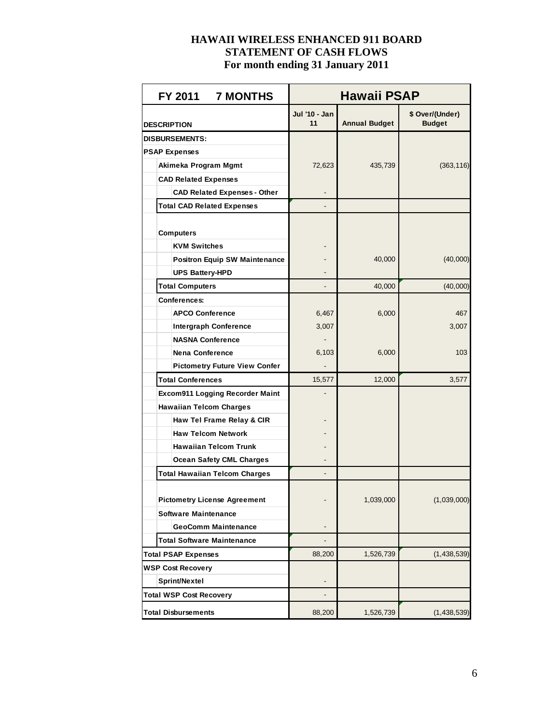| FY 2011 7 MONTHS                     | Hawaii PSAP         |                      |                                  |  |  |  |  |
|--------------------------------------|---------------------|----------------------|----------------------------------|--|--|--|--|
| <b>DESCRIPTION</b>                   | Jul '10 - Jan<br>11 | <b>Annual Budget</b> | \$ Over/(Under)<br><b>Budget</b> |  |  |  |  |
| <b>DISBURSEMENTS:</b>                |                     |                      |                                  |  |  |  |  |
| <b>PSAP Expenses</b>                 |                     |                      |                                  |  |  |  |  |
| Akimeka Program Mgmt                 | 72,623              | 435,739              | (363, 116)                       |  |  |  |  |
| <b>CAD Related Expenses</b>          |                     |                      |                                  |  |  |  |  |
| <b>CAD Related Expenses - Other</b>  |                     |                      |                                  |  |  |  |  |
| <b>Total CAD Related Expenses</b>    |                     |                      |                                  |  |  |  |  |
|                                      |                     |                      |                                  |  |  |  |  |
| <b>Computers</b>                     |                     |                      |                                  |  |  |  |  |
| <b>KVM Switches</b>                  |                     |                      |                                  |  |  |  |  |
| <b>Positron Equip SW Maintenance</b> |                     | 40,000               | (40,000)                         |  |  |  |  |
| <b>UPS Battery-HPD</b>               |                     |                      |                                  |  |  |  |  |
| <b>Total Computers</b>               |                     | 40,000               | (40,000)                         |  |  |  |  |
| Conferences:                         |                     |                      |                                  |  |  |  |  |
| <b>APCO Conference</b>               | 6,467               | 6,000                | 467                              |  |  |  |  |
| <b>Intergraph Conference</b>         | 3,007               |                      | 3,007                            |  |  |  |  |
| <b>NASNA Conference</b>              |                     |                      |                                  |  |  |  |  |
| <b>Nena Conference</b>               | 6,103               | 6,000                | 103                              |  |  |  |  |
| <b>Pictometry Future View Confer</b> |                     |                      |                                  |  |  |  |  |
| <b>Total Conferences</b>             | 15,577              | 12,000               | 3,577                            |  |  |  |  |
| Excom911 Logging Recorder Maint      |                     |                      |                                  |  |  |  |  |
| <b>Hawaiian Telcom Charges</b>       |                     |                      |                                  |  |  |  |  |
| Haw Tel Frame Relay & CIR            |                     |                      |                                  |  |  |  |  |
| <b>Haw Telcom Network</b>            |                     |                      |                                  |  |  |  |  |
| <b>Hawaiian Telcom Trunk</b>         |                     |                      |                                  |  |  |  |  |
| <b>Ocean Safety CML Charges</b>      |                     |                      |                                  |  |  |  |  |
| <b>Total Hawaiian Telcom Charges</b> |                     |                      |                                  |  |  |  |  |
|                                      |                     |                      |                                  |  |  |  |  |
| <b>Pictometry License Agreement</b>  |                     | 1,039,000            | (1,039,000)                      |  |  |  |  |
| <b>Software Maintenance</b>          |                     |                      |                                  |  |  |  |  |
| <b>GeoComm Maintenance</b>           |                     |                      |                                  |  |  |  |  |
| <b>Total Software Maintenance</b>    |                     |                      |                                  |  |  |  |  |
| <b>Total PSAP Expenses</b>           | 88,200              | 1,526,739            | (1,438,539)                      |  |  |  |  |
| <b>WSP Cost Recovery</b>             |                     |                      |                                  |  |  |  |  |
| Sprint/Nextel                        |                     |                      |                                  |  |  |  |  |
| <b>Total WSP Cost Recovery</b>       |                     |                      |                                  |  |  |  |  |
| <b>Total Disbursements</b>           | 88,200              | 1,526,739            | (1,438,539)                      |  |  |  |  |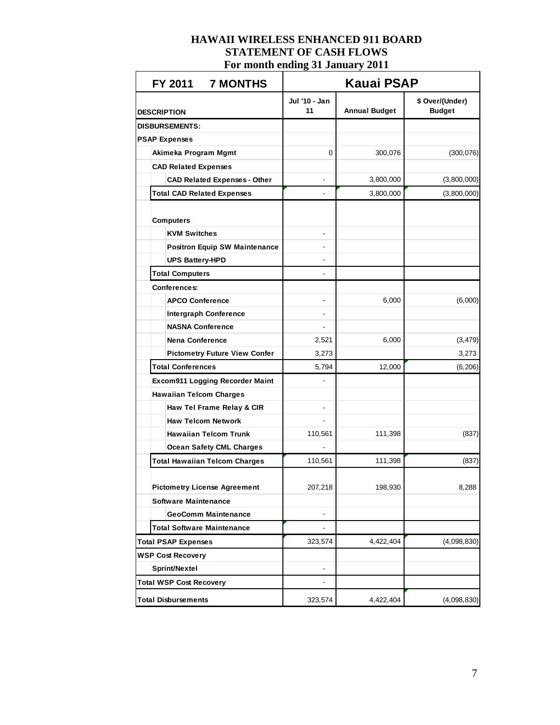| FY 2011 7 MONTHS                       | <b>Kauai PSAP</b>   |                      |                                  |  |  |  |  |
|----------------------------------------|---------------------|----------------------|----------------------------------|--|--|--|--|
| <b>DESCRIPTION</b>                     | Jul '10 - Jan<br>11 | <b>Annual Budget</b> | \$ Over/(Under)<br><b>Budget</b> |  |  |  |  |
| <b>DISBURSEMENTS:</b>                  |                     |                      |                                  |  |  |  |  |
| <b>PSAP Expenses</b>                   |                     |                      |                                  |  |  |  |  |
| Akimeka Program Mgmt                   | 0                   | 300,076              | (300, 076)                       |  |  |  |  |
| <b>CAD Related Expenses</b>            |                     |                      |                                  |  |  |  |  |
| <b>CAD Related Expenses - Other</b>    |                     | 3,800,000            | (3,800,000)                      |  |  |  |  |
| <b>Total CAD Related Expenses</b>      | $\blacksquare$      | 3,800,000            | (3,800,000)                      |  |  |  |  |
|                                        |                     |                      |                                  |  |  |  |  |
| <b>Computers</b>                       |                     |                      |                                  |  |  |  |  |
| <b>KVM Switches</b>                    |                     |                      |                                  |  |  |  |  |
| <b>Positron Equip SW Maintenance</b>   |                     |                      |                                  |  |  |  |  |
| <b>UPS Battery-HPD</b>                 |                     |                      |                                  |  |  |  |  |
| <b>Total Computers</b>                 |                     |                      |                                  |  |  |  |  |
| <b>Conferences:</b>                    |                     |                      |                                  |  |  |  |  |
| <b>APCO Conference</b>                 |                     | 6,000                | (6,000)                          |  |  |  |  |
| <b>Intergraph Conference</b>           |                     |                      |                                  |  |  |  |  |
| <b>NASNA Conference</b>                |                     |                      |                                  |  |  |  |  |
| <b>Nena Conference</b>                 | 2,521               | 6,000                | (3, 479)                         |  |  |  |  |
| <b>Pictometry Future View Confer</b>   | 3,273               |                      | 3,273                            |  |  |  |  |
| <b>Total Conferences</b>               | 5,794               | 12,000               | (6, 206)                         |  |  |  |  |
| <b>Excom911 Logging Recorder Maint</b> |                     |                      |                                  |  |  |  |  |
| <b>Hawaiian Telcom Charges</b>         |                     |                      |                                  |  |  |  |  |
| Haw Tel Frame Relay & CIR              |                     |                      |                                  |  |  |  |  |
| <b>Haw Telcom Network</b>              |                     |                      |                                  |  |  |  |  |
| <b>Hawaiian Telcom Trunk</b>           | 110,561             | 111,398              | (837)                            |  |  |  |  |
| <b>Ocean Safety CML Charges</b>        |                     |                      |                                  |  |  |  |  |
| <b>Total Hawaiian Telcom Charges</b>   | 110,561             | 111,398              | (837)                            |  |  |  |  |
|                                        |                     |                      |                                  |  |  |  |  |
| <b>Pictometry License Agreement</b>    | 207,218             | 198,930              | 8,288                            |  |  |  |  |
| <b>Software Maintenance</b>            |                     |                      |                                  |  |  |  |  |
| <b>GeoComm Maintenance</b>             |                     |                      |                                  |  |  |  |  |
| <b>Total Software Maintenance</b>      | ۰                   |                      |                                  |  |  |  |  |
| <b>Total PSAP Expenses</b>             | 323,574             | 4,422,404            | (4,098,830)                      |  |  |  |  |
| <b>WSP Cost Recovery</b>               |                     |                      |                                  |  |  |  |  |
| Sprint/Nextel                          |                     |                      |                                  |  |  |  |  |
| <b>Total WSP Cost Recovery</b>         | -                   |                      |                                  |  |  |  |  |
| <b>Total Disbursements</b>             | 323,574             | 4,422,404            | (4,098,830)                      |  |  |  |  |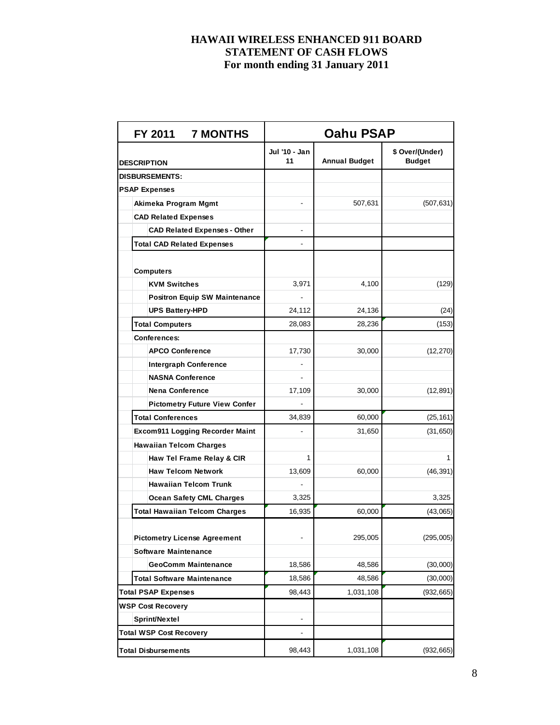|                                | FY 2011 7 MONTHS                       | Oahu PSAP           |                      |                                  |  |  |  |  |
|--------------------------------|----------------------------------------|---------------------|----------------------|----------------------------------|--|--|--|--|
| <b>DESCRIPTION</b>             |                                        | Jul '10 - Jan<br>11 | <b>Annual Budget</b> | \$ Over/(Under)<br><b>Budget</b> |  |  |  |  |
| <b>DISBURSEMENTS:</b>          |                                        |                     |                      |                                  |  |  |  |  |
| <b>PSAP Expenses</b>           |                                        |                     |                      |                                  |  |  |  |  |
|                                | Akimeka Program Mgmt                   |                     | 507,631              | (507, 631)                       |  |  |  |  |
|                                | <b>CAD Related Expenses</b>            |                     |                      |                                  |  |  |  |  |
|                                | <b>CAD Related Expenses - Other</b>    |                     |                      |                                  |  |  |  |  |
|                                | <b>Total CAD Related Expenses</b>      |                     |                      |                                  |  |  |  |  |
|                                |                                        |                     |                      |                                  |  |  |  |  |
| <b>Computers</b>               |                                        |                     |                      |                                  |  |  |  |  |
|                                | <b>KVM Switches</b>                    | 3,971               | 4,100                | (129)                            |  |  |  |  |
|                                | <b>Positron Equip SW Maintenance</b>   |                     |                      |                                  |  |  |  |  |
|                                | <b>UPS Battery-HPD</b>                 | 24,112              | 24,136               | (24)                             |  |  |  |  |
| <b>Total Computers</b>         |                                        | 28,083              | 28,236               | (153)                            |  |  |  |  |
| <b>Conferences:</b>            |                                        |                     |                      |                                  |  |  |  |  |
|                                | <b>APCO Conference</b>                 | 17,730              | 30,000               | (12, 270)                        |  |  |  |  |
|                                | <b>Intergraph Conference</b>           |                     |                      |                                  |  |  |  |  |
|                                | <b>NASNA Conference</b>                |                     |                      |                                  |  |  |  |  |
|                                | <b>Nena Conference</b>                 | 17,109              | 30,000               | (12, 891)                        |  |  |  |  |
|                                | <b>Pictometry Future View Confer</b>   |                     |                      |                                  |  |  |  |  |
| <b>Total Conferences</b>       |                                        | 34,839              | 60,000               | (25, 161)                        |  |  |  |  |
|                                | <b>Excom911 Logging Recorder Maint</b> | $\blacksquare$      | 31,650               | (31, 650)                        |  |  |  |  |
|                                | <b>Hawaiian Telcom Charges</b>         |                     |                      |                                  |  |  |  |  |
|                                | Haw Tel Frame Relay & CIR              | 1                   |                      | 1                                |  |  |  |  |
|                                | <b>Haw Telcom Network</b>              | 13,609              | 60,000               | (46, 391)                        |  |  |  |  |
|                                | <b>Hawaiian Telcom Trunk</b>           |                     |                      |                                  |  |  |  |  |
|                                | <b>Ocean Safety CML Charges</b>        | 3,325               |                      | 3,325                            |  |  |  |  |
|                                | <b>Total Hawaiian Telcom Charges</b>   | 16,935              | 60,000               | (43,065)                         |  |  |  |  |
|                                |                                        |                     |                      |                                  |  |  |  |  |
|                                | <b>Pictometry License Agreement</b>    |                     | 295,005              | (295,005)                        |  |  |  |  |
|                                | <b>Software Maintenance</b>            |                     |                      |                                  |  |  |  |  |
|                                | <b>GeoComm Maintenance</b>             | 18,586              | 48,586               | (30,000)                         |  |  |  |  |
|                                | <b>Total Software Maintenance</b>      | 18,586              | 48,586               | (30,000)                         |  |  |  |  |
| <b>Total PSAP Expenses</b>     |                                        | 98,443              | 1,031,108            | (932, 665)                       |  |  |  |  |
| <b>WSP Cost Recovery</b>       |                                        |                     |                      |                                  |  |  |  |  |
| Sprint/Nextel                  |                                        | -                   |                      |                                  |  |  |  |  |
| <b>Total WSP Cost Recovery</b> |                                        |                     |                      |                                  |  |  |  |  |
| <b>Total Disbursements</b>     |                                        | 98,443              | 1,031,108            | (932, 665)                       |  |  |  |  |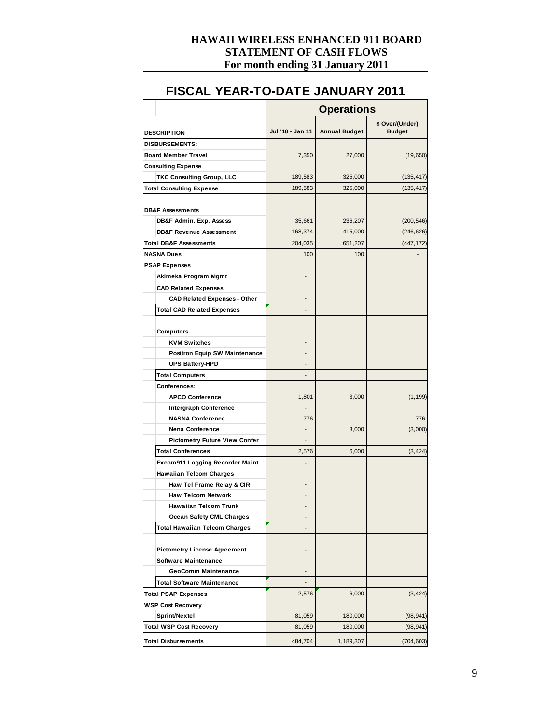$\Gamma$ 

| <b>FISCAL YEAR-TO-DATE JANUARY 2011</b> |                          |                      |                                  |
|-----------------------------------------|--------------------------|----------------------|----------------------------------|
|                                         |                          | <b>Operations</b>    |                                  |
| <b>DESCRIPTION</b>                      | Jul '10 - Jan 11         | <b>Annual Budget</b> | \$ Over/(Under)<br><b>Budget</b> |
| <b>DISBURSEMENTS:</b>                   |                          |                      |                                  |
| <b>Board Member Travel</b>              | 7,350                    | 27,000               | (19,650)                         |
| <b>Consulting Expense</b>               |                          |                      |                                  |
| <b>TKC Consulting Group, LLC</b>        | 189,583                  | 325,000              | (135, 417)                       |
| <b>Total Consulting Expense</b>         | 189,583                  | 325,000              | (135, 417)                       |
| <b>DB&amp;F Assessments</b>             |                          |                      |                                  |
| DB&F Admin. Exp. Assess                 | 35,661                   | 236,207              | (200, 546)                       |
| <b>DB&amp;F Revenue Assessment</b>      | 168,374                  | 415,000              | (246, 626)                       |
| <b>Total DB&amp;F Assessments</b>       | 204,035                  | 651,207              | (447, 172)                       |
| <b>NASNA Dues</b>                       | 100                      | 100                  |                                  |
| <b>PSAP Expenses</b>                    |                          |                      |                                  |
| Akimeka Program Mgmt                    |                          |                      |                                  |
| <b>CAD Related Expenses</b>             |                          |                      |                                  |
| <b>CAD Related Expenses - Other</b>     |                          |                      |                                  |
| <b>Total CAD Related Expenses</b>       |                          |                      |                                  |
| Computers                               |                          |                      |                                  |
| <b>KVM Switches</b>                     |                          |                      |                                  |
| <b>Positron Equip SW Maintenance</b>    |                          |                      |                                  |
| <b>UPS Battery-HPD</b>                  |                          |                      |                                  |
| <b>Total Computers</b>                  | $\overline{\phantom{0}}$ |                      |                                  |
| <b>Conferences:</b>                     |                          |                      |                                  |
| <b>APCO Conference</b>                  | 1,801                    | 3,000                | (1, 199)                         |
| <b>Intergraph Conference</b>            |                          |                      |                                  |
| <b>NASNA Conference</b>                 | 776                      |                      | 776                              |
| <b>Nena Conference</b>                  |                          | 3,000                | (3,000)                          |
| <b>Pictometry Future View Confer</b>    |                          |                      |                                  |
| <b>Total Conferences</b>                | 2,576                    | 6,000                | (3, 424)                         |
| <b>Excom911 Logging Recorder Maint</b>  |                          |                      |                                  |
| <b>Hawaiian Telcom Charges</b>          |                          |                      |                                  |
| Haw Tel Frame Relay & CIR               |                          |                      |                                  |
| <b>Haw Telcom Network</b>               |                          |                      |                                  |
| <b>Hawaiian Telcom Trunk</b>            |                          |                      |                                  |
| <b>Ocean Safety CML Charges</b>         |                          |                      |                                  |
| Total Hawaiian Telcom Charges           |                          |                      |                                  |
| <b>Pictometry License Agreement</b>     |                          |                      |                                  |
| <b>Software Maintenance</b>             |                          |                      |                                  |
| <b>GeoComm Maintenance</b>              |                          |                      |                                  |
| <b>Total Software Maintenance</b>       |                          |                      |                                  |
| <b>Total PSAP Expenses</b>              | 2,576                    | 6,000                | (3, 424)                         |
| <b>WSP Cost Recovery</b>                |                          |                      |                                  |
| Sprint/Nextel                           | 81,059                   | 180,000              | (98, 941)                        |
| <b>Total WSP Cost Recovery</b>          | 81,059                   | 180,000              | (98,941)                         |
| <b>Total Disbursements</b>              | 484,704                  | 1,189,307            | (704, 603)                       |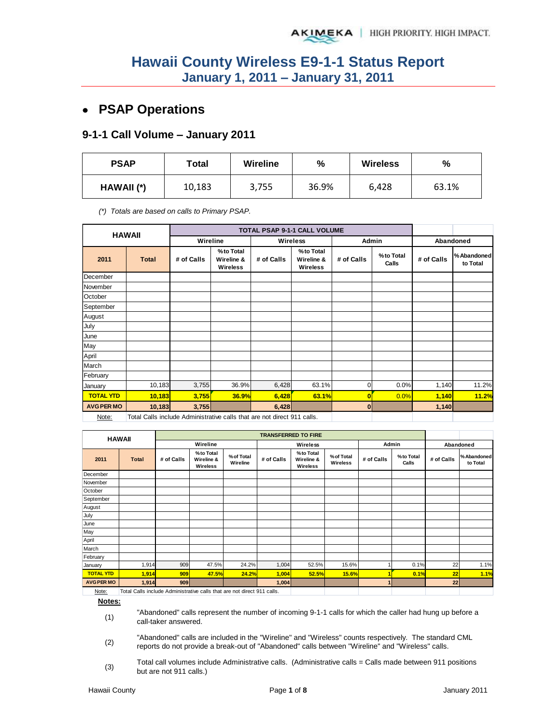## **PSAP Operations**

#### **9-1-1 Call Volume – January 2011**

| <b>PSAP</b> | Total  | <b>Wireline</b> | %     | <b>Wireless</b> | %     |
|-------------|--------|-----------------|-------|-----------------|-------|
| HAWAII (*)  | 10,183 | 3,755           | 36.9% | 6,428           | 63.1% |

*(\*) Totals are based on calls to Primary PSAP.* 

| <b>HAWAII</b>     |              |                                                                         |                                     |            |                                     |            |                    |            |                         |  |
|-------------------|--------------|-------------------------------------------------------------------------|-------------------------------------|------------|-------------------------------------|------------|--------------------|------------|-------------------------|--|
|                   |              | Wireline                                                                |                                     |            | <b>Wireless</b>                     | Admin      |                    | Abandoned  |                         |  |
| 2011              | <b>Total</b> | # of Calls                                                              | %to Total<br>Wireline &<br>Wireless | # of Calls | %to Total<br>Wireline &<br>Wireless | # of Calls | %to Total<br>Calls | # of Calls | % Abandoned<br>to Total |  |
| December          |              |                                                                         |                                     |            |                                     |            |                    |            |                         |  |
| November          |              |                                                                         |                                     |            |                                     |            |                    |            |                         |  |
| October           |              |                                                                         |                                     |            |                                     |            |                    |            |                         |  |
| September         |              |                                                                         |                                     |            |                                     |            |                    |            |                         |  |
| August            |              |                                                                         |                                     |            |                                     |            |                    |            |                         |  |
| July              |              |                                                                         |                                     |            |                                     |            |                    |            |                         |  |
| June              |              |                                                                         |                                     |            |                                     |            |                    |            |                         |  |
| May               |              |                                                                         |                                     |            |                                     |            |                    |            |                         |  |
| April             |              |                                                                         |                                     |            |                                     |            |                    |            |                         |  |
| March             |              |                                                                         |                                     |            |                                     |            |                    |            |                         |  |
| February          |              |                                                                         |                                     |            |                                     |            |                    |            |                         |  |
| January           | 10,183       | 3,755                                                                   | 36.9%                               | 6,428      | 63.1%                               | 0          | 0.0%               | 1,140      | 11.2%                   |  |
| <b>TOTAL YTD</b>  | 10,183       | 3,755                                                                   | 36.9%                               | 6,428      | 63.1%                               | 0          | 0.0%               | 1,140      | 11.2%                   |  |
| <b>AVG PER MO</b> | 10,183       | 3,755                                                                   |                                     | 6,428      |                                     | 0          |                    | 1,140      |                         |  |
| Note:             |              | Total Calls include Administrative calls that are not direct 911 calls. |                                     |            |                                     |            |                    |            |                         |  |

| <b>HAWAII</b>     |              | <b>TRANSFERRED TO FIRE</b> |                                     |                        |            |                                      |                        |            |                    |            |                        |
|-------------------|--------------|----------------------------|-------------------------------------|------------------------|------------|--------------------------------------|------------------------|------------|--------------------|------------|------------------------|
|                   |              |                            | Wireline                            |                        | Wireless   |                                      |                        | Admin      |                    | Abandoned  |                        |
| 2011              | <b>Total</b> | # of Calls                 | %to Total<br>Wireline &<br>Wireless | % of Total<br>Wireline | # of Calls | % to Total<br>Wireline &<br>Wireless | % of Total<br>Wireless | # of Calls | %to Total<br>Calls | # of Calls | %Abandoned<br>to Total |
| December          |              |                            |                                     |                        |            |                                      |                        |            |                    |            |                        |
| November          |              |                            |                                     |                        |            |                                      |                        |            |                    |            |                        |
| October           |              |                            |                                     |                        |            |                                      |                        |            |                    |            |                        |
| September         |              |                            |                                     |                        |            |                                      |                        |            |                    |            |                        |
| August            |              |                            |                                     |                        |            |                                      |                        |            |                    |            |                        |
| July              |              |                            |                                     |                        |            |                                      |                        |            |                    |            |                        |
| June              |              |                            |                                     |                        |            |                                      |                        |            |                    |            |                        |
| May               |              |                            |                                     |                        |            |                                      |                        |            |                    |            |                        |
| April             |              |                            |                                     |                        |            |                                      |                        |            |                    |            |                        |
| March             |              |                            |                                     |                        |            |                                      |                        |            |                    |            |                        |
| February          |              |                            |                                     |                        |            |                                      |                        |            |                    |            |                        |
| January           | 1,914        | 909                        | 47.5%                               | 24.2%                  | 1,004      | 52.5%                                | 15.6%                  |            | 0.1%               | 22         | 1.1%                   |
| <b>TOTAL YTD</b>  | 1,914        | 909                        | 47.5%                               | 24.2%                  | 1,004      | 52.5%                                | 15.6%                  |            | 0.1%               | 22         | 1.1%                   |
| <b>AVG PER MO</b> | 1,914        | 909                        |                                     |                        | 1,004      |                                      |                        | 1          |                    | 22         |                        |

Note: Total Calls include Administrative calls that are not direct 911 calls.

**Notes:**

(1) "Abandoned" calls represent the number of incoming 9-1-1 calls for which the caller had hung up before a call-taker answered.

(2) "Abandoned" calls are included in the "Wireline" and "Wireless" counts respectively. The standard CML reports do not provide a break-out of "Abandoned" calls between "Wireline" and "Wireless" calls.

(3) Total call volumes include Administrative calls. (Administrative calls = Calls made between 911 positions but are not 911 calls.)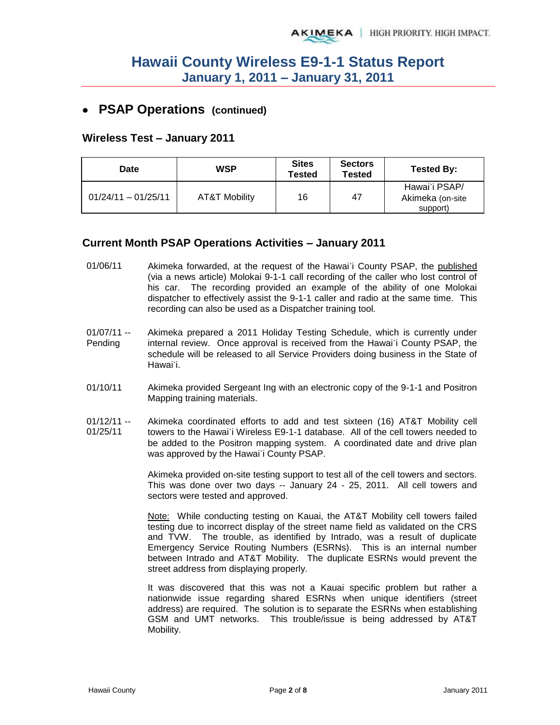### **PSAP Operations (continued)**

#### **Wireless Test – January 2011**

| Date                  | <b>WSP</b>    | <b>Sites</b><br><b>Tested</b> | <b>Sectors</b><br><b>Tested</b> | Tested By:                                    |
|-----------------------|---------------|-------------------------------|---------------------------------|-----------------------------------------------|
| $01/24/11 - 01/25/11$ | AT&T Mobility | 16                            | 47                              | Hawai'i PSAP/<br>Akimeka (on-site<br>support) |

#### **Current Month PSAP Operations Activities – January 2011**

- 01/06/11 Akimeka forwarded, at the request of the Hawai`i County PSAP, the published (via a news article) Molokai 9-1-1 call recording of the caller who lost control of his car. The recording provided an example of the ability of one Molokai dispatcher to effectively assist the 9-1-1 caller and radio at the same time. This recording can also be used as a Dispatcher training tool.
- $01/07/11 -$ Pending Akimeka prepared a 2011 Holiday Testing Schedule, which is currently under internal review. Once approval is received from the Hawai`i County PSAP, the schedule will be released to all Service Providers doing business in the State of Hawai`i.
- 01/10/11 Akimeka provided Sergeant Ing with an electronic copy of the 9-1-1 and Positron Mapping training materials.
- $01/12/11 -$ 01/25/11 Akimeka coordinated efforts to add and test sixteen (16) AT&T Mobility cell towers to the Hawai`i Wireless E9-1-1 database. All of the cell towers needed to be added to the Positron mapping system. A coordinated date and drive plan was approved by the Hawai`i County PSAP.

Akimeka provided on-site testing support to test all of the cell towers and sectors. This was done over two days -- January 24 - 25, 2011. All cell towers and sectors were tested and approved.

Note: While conducting testing on Kauai, the AT&T Mobility cell towers failed testing due to incorrect display of the street name field as validated on the CRS and TVW. The trouble, as identified by Intrado, was a result of duplicate Emergency Service Routing Numbers (ESRNs). This is an internal number between Intrado and AT&T Mobility. The duplicate ESRNs would prevent the street address from displaying properly.

It was discovered that this was not a Kauai specific problem but rather a nationwide issue regarding shared ESRNs when unique identifiers (street address) are required. The solution is to separate the ESRNs when establishing GSM and UMT networks. This trouble/issue is being addressed by AT&T Mobility.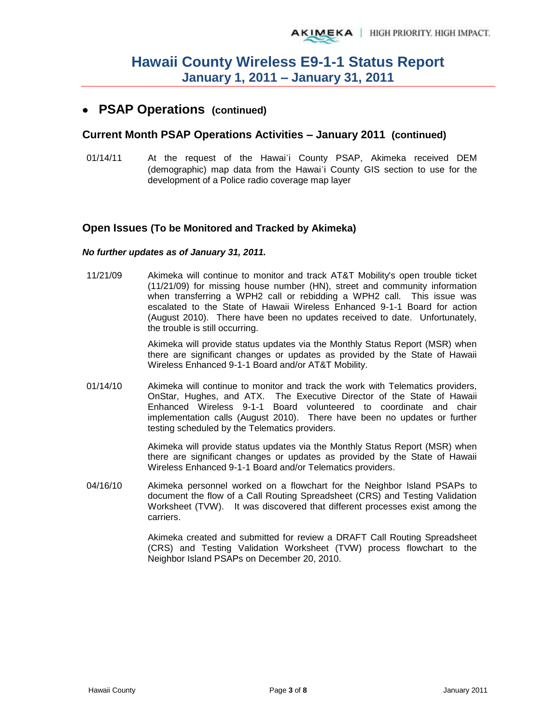## **PSAP Operations (continued)**

#### **Current Month PSAP Operations Activities – January 2011 (continued)**

01/14/11 At the request of the Hawai'i County PSAP, Akimeka received DEM (demographic) map data from the Hawai`i County GIS section to use for the development of a Police radio coverage map layer

#### **Open Issues (To be Monitored and Tracked by Akimeka)**

#### *No further updates as of January 31, 2011.*

11/21/09 Akimeka will continue to monitor and track AT&T Mobility's open trouble ticket (11/21/09) for missing house number (HN), street and community information when transferring a WPH2 call or rebidding a WPH2 call. This issue was escalated to the State of Hawaii Wireless Enhanced 9-1-1 Board for action (August 2010). There have been no updates received to date. Unfortunately, the trouble is still occurring.

> Akimeka will provide status updates via the Monthly Status Report (MSR) when there are significant changes or updates as provided by the State of Hawaii Wireless Enhanced 9-1-1 Board and/or AT&T Mobility.

01/14/10 Akimeka will continue to monitor and track the work with Telematics providers, OnStar, Hughes, and ATX. The Executive Director of the State of Hawaii Enhanced Wireless 9-1-1 Board volunteered to coordinate and chair implementation calls (August 2010). There have been no updates or further testing scheduled by the Telematics providers.

> Akimeka will provide status updates via the Monthly Status Report (MSR) when there are significant changes or updates as provided by the State of Hawaii Wireless Enhanced 9-1-1 Board and/or Telematics providers.

04/16/10 Akimeka personnel worked on a flowchart for the Neighbor Island PSAPs to document the flow of a Call Routing Spreadsheet (CRS) and Testing Validation Worksheet (TVW). It was discovered that different processes exist among the carriers.

> Akimeka created and submitted for review a DRAFT Call Routing Spreadsheet (CRS) and Testing Validation Worksheet (TVW) process flowchart to the Neighbor Island PSAPs on December 20, 2010.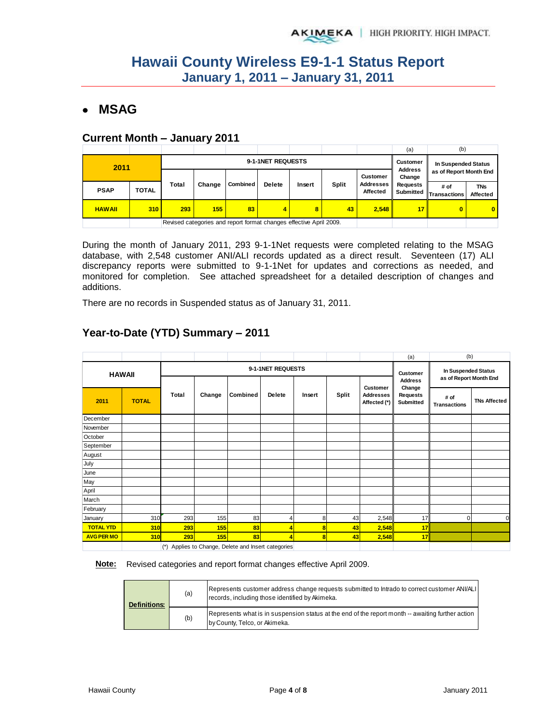## **MSAG**

#### **Current Month – January 2011**

|               |              |       |                                                                    |                   |                 |                     |       |                       | (a)                                                | (b)                    |                        |
|---------------|--------------|-------|--------------------------------------------------------------------|-------------------|-----------------|---------------------|-------|-----------------------|----------------------------------------------------|------------------------|------------------------|
| 2011          |              |       |                                                                    | 9-1-1NET REQUESTS | <b>Customer</b> | In Suspended Status |       |                       |                                                    |                        |                        |
|               |              |       |                                                                    |                   |                 |                     |       | <b>Customer</b>       | <b>Address</b><br>as of Report Month End<br>Change |                        |                        |
| <b>PSAP</b>   | <b>TOTAL</b> | Total | Change                                                             | <b>Combined</b>   | <b>Delete</b>   | Insert              | Split | Addresses<br>Affected | Requests<br>Submitted                              | # of<br>← Transactions | <b>TNs</b><br>Affected |
| <b>HAWAII</b> | 310          | 293   | 155<br>43<br>83<br>8<br>2.548<br>4                                 |                   |                 |                     |       |                       | 17                                                 | $\bf{0}$               | $\bf{0}$               |
|               |              |       | Revised categories and report format changes effective April 2009. |                   |                 |                     |       |                       |                                                    |                        |                        |

During the month of January 2011, 293 9-1-1Net requests were completed relating to the MSAG database, with 2,548 customer ANI/ALI records updated as a direct result. Seventeen (17) ALI discrepancy reports were submitted to 9-1-1Net for updates and corrections as needed, and monitored for completion. See attached spreadsheet for a detailed description of changes and additions.

There are no records in Suspended status as of January 31, 2011.

|                   |                                                     |       |        |          |                   |        |       |                                  | (a)                          | (b)                                           |                     |
|-------------------|-----------------------------------------------------|-------|--------|----------|-------------------|--------|-------|----------------------------------|------------------------------|-----------------------------------------------|---------------------|
|                   | <b>HAWAII</b>                                       |       |        |          | 9-1-1NET REQUESTS |        |       |                                  | <b>Customer</b>              | In Suspended Status<br>as of Report Month End |                     |
|                   |                                                     |       |        |          |                   |        |       | Customer                         | <b>Address</b><br>Change     |                                               |                     |
| 2011              | <b>TOTAL</b>                                        | Total | Change | Combined | <b>Delete</b>     | Insert | Split | <b>Addresses</b><br>Affected (*) | <b>Requests</b><br>Submitted | # of<br><b>Transactions</b>                   | <b>TNs Affected</b> |
| December          |                                                     |       |        |          |                   |        |       |                                  |                              |                                               |                     |
| November          |                                                     |       |        |          |                   |        |       |                                  |                              |                                               |                     |
| October           |                                                     |       |        |          |                   |        |       |                                  |                              |                                               |                     |
| September         |                                                     |       |        |          |                   |        |       |                                  |                              |                                               |                     |
| August            |                                                     |       |        |          |                   |        |       |                                  |                              |                                               |                     |
| July              |                                                     |       |        |          |                   |        |       |                                  |                              |                                               |                     |
| June              |                                                     |       |        |          |                   |        |       |                                  |                              |                                               |                     |
| May               |                                                     |       |        |          |                   |        |       |                                  |                              |                                               |                     |
| April             |                                                     |       |        |          |                   |        |       |                                  |                              |                                               |                     |
| March             |                                                     |       |        |          |                   |        |       |                                  |                              |                                               |                     |
| February          |                                                     |       |        |          |                   |        |       |                                  |                              |                                               |                     |
| January           | 310                                                 | 293   | 155    | 83       | 4                 | 8      | 43    | 2,548                            | 17                           | $\overline{0}$                                | $\Omega$            |
| <b>TOTAL YTD</b>  | 310                                                 | 293   | 155    | 83       | 4                 | 8      | 43    | 2,548                            | 17                           |                                               |                     |
| <b>AVG PER MO</b> | <b>310</b>                                          | 293   | 155    | 83       | 4                 | 8      | 43    | 2,548                            | 17                           |                                               |                     |
|                   | (*) Applies to Change, Delete and Insert categories |       |        |          |                   |        |       |                                  |                              |                                               |                     |

## **Year-to-Date (YTD) Summary – 2011**

**Note:** Revised categories and report format changes effective April 2009.

| <b>Definitions:</b> | (a) | Represents customer address change requests submitted to Intrado to correct customer ANI/ALI<br>records, including those identified by Akimeka. |
|---------------------|-----|-------------------------------------------------------------------------------------------------------------------------------------------------|
|                     | (b) | Represents what is in suspension status at the end of the report month -- awaiting further action<br>by County, Telco, or Akimeka.              |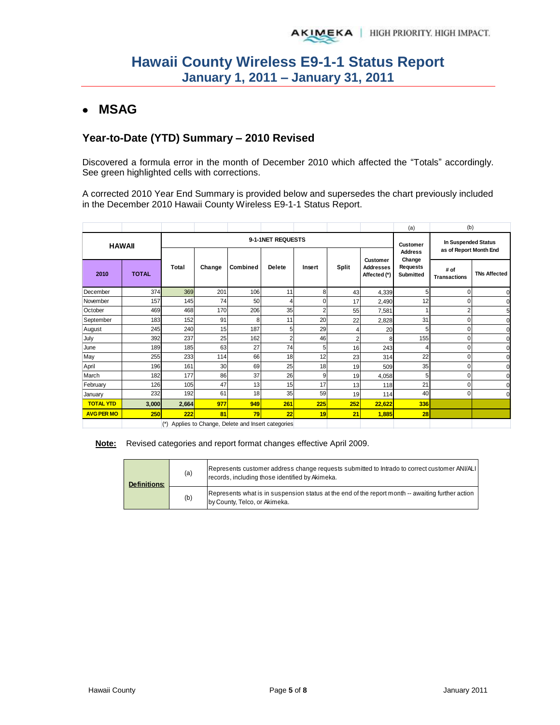## **MSAG**

### **Year-to-Date (YTD) Summary – 2010 Revised**

Discovered a formula error in the month of December 2010 which affected the "Totals" accordingly. See green highlighted cells with corrections.

A corrected 2010 Year End Summary is provided below and supersedes the chart previously included in the December 2010 Hawaii County Wireless E9-1-1 Status Report.

|                                    |              |       |                                                 |          |                |                |                |                                              | (a)                               | (b)                                           |                     |
|------------------------------------|--------------|-------|-------------------------------------------------|----------|----------------|----------------|----------------|----------------------------------------------|-----------------------------------|-----------------------------------------------|---------------------|
| 9-1-1NET REQUESTS<br><b>HAWAII</b> |              |       |                                                 |          |                |                |                |                                              | <b>Customer</b><br><b>Address</b> | In Suspended Status<br>as of Report Month End |                     |
| 2010                               | <b>TOTAL</b> | Total | Change                                          | Combined | <b>Delete</b>  | Insert         | <b>Split</b>   | Customer<br><b>Addresses</b><br>Affected (*) | Change<br>Requests<br>Submitted   | # of<br><b>Transactions</b>                   | <b>TNs Affected</b> |
| December                           | 374          | 369   | 201                                             | 106      | 11             | 8              | 43             | 4,339                                        | 5                                 |                                               |                     |
| November                           | 157          | 145   | 74                                              | 50       | 4              | $\Omega$       | 17             | 2,490                                        | 12                                | ი                                             |                     |
| October                            | 469          | 468   | 170                                             | 206      | 35             | $\overline{2}$ | 55             | 7,581                                        |                                   | 2                                             |                     |
| September                          | 183          | 152   | 91                                              | 8        | 11             | 20             | 22             | 2,828                                        | 31                                | በ                                             |                     |
| August                             | 245          | 240   | 15                                              | 187      | 5              | 29             | Δ              | 20                                           | 5                                 | $\Omega$                                      | r                   |
| July                               | 392          | 237   | 25                                              | 162      | $\overline{c}$ | 46             | $\overline{2}$ | 8                                            | 155                               | 0                                             |                     |
| June                               | 189          | 185   | 63                                              | 27       | 74             | 5              | 16             | 243                                          | 4                                 | O                                             |                     |
| May                                | 255          | 233   | 114                                             | 66       | 18             | 12             | 23             | 314                                          | 22                                | 0                                             | r                   |
| April                              | 196          | 161   | 30                                              | 69       | 25             | 18             | 19             | 509                                          | 35                                | O                                             | r                   |
| March                              | 182          | 177   | 86                                              | 37       | 26             | 9              | 19             | 4,058                                        | 5                                 | $\Omega$                                      | n                   |
| February                           | 126          | 105   | 47                                              | 13       | 15             | 17             | 13             | 118                                          | 21                                | በ                                             | r                   |
| January                            | 232          | 192   | 61                                              | 18       | 35             | 59             | 19             | 114                                          | 40                                | 0                                             | C                   |
| <b>TOTAL YTD</b>                   | 3,000        | 2,664 | 977                                             | 949      | 261            | 225            | 252            | 22,622                                       | <b>336</b>                        |                                               |                     |
| <b>AVG PER MO</b>                  | <b>250</b>   | 222   | 81                                              | 79       | 22             | 19             | 21             | 1,885                                        | 28                                |                                               |                     |
|                                    |              | (*)   | Applies to Change, Delete and Insert categories |          |                |                |                |                                              |                                   |                                               |                     |

**Note:** Revised categories and report format changes effective April 2009.

| <b>Definitions:</b> | (a) | Represents customer address change requests submitted to Intrado to correct customer ANI/ALI<br>records, including those identified by Akimeka. |
|---------------------|-----|-------------------------------------------------------------------------------------------------------------------------------------------------|
|                     | (b) | Represents what is in suspension status at the end of the report month -- awaiting further action<br>by County, Telco, or Akimeka.              |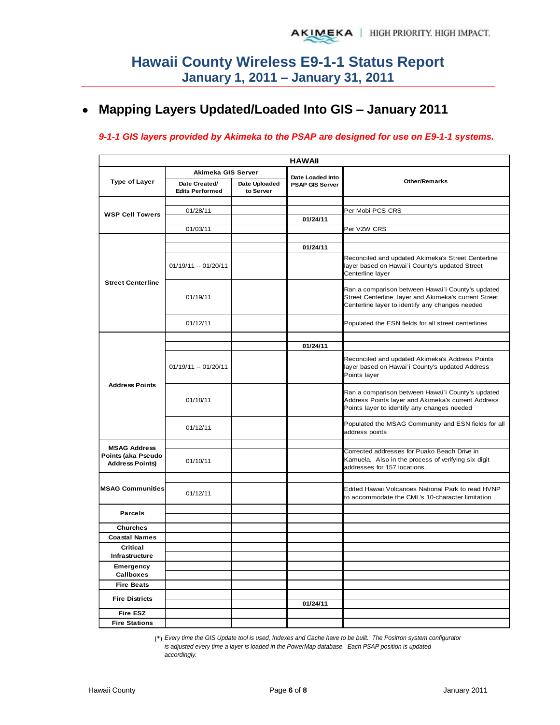#### **Mapping Layers Updated/Loaded Into GIS – January 2011**   $\bullet$

#### *9-1-1 GIS layers provided by Akimeka to the PSAP are designed for use on E9-1-1 systems.*

|                                              |                                         |                            | <b>HAWAII</b>                              |                                                                                                                                                              |
|----------------------------------------------|-----------------------------------------|----------------------------|--------------------------------------------|--------------------------------------------------------------------------------------------------------------------------------------------------------------|
|                                              | Akimeka GIS Server                      |                            |                                            |                                                                                                                                                              |
| <b>Type of Layer</b>                         | Date Created/<br><b>Edits Performed</b> | Date Uploaded<br>to Server | Date Loaded Into<br><b>PSAP GIS Server</b> | <b>Other/Remarks</b>                                                                                                                                         |
|                                              |                                         |                            |                                            |                                                                                                                                                              |
| <b>WSP Cell Towers</b>                       | 01/28/11                                |                            |                                            | Per Mobi PCS CRS                                                                                                                                             |
|                                              |                                         |                            | 01/24/11                                   |                                                                                                                                                              |
|                                              | 01/03/11                                |                            |                                            | Per VZW CRS                                                                                                                                                  |
|                                              |                                         |                            |                                            |                                                                                                                                                              |
|                                              |                                         |                            | 01/24/11                                   |                                                                                                                                                              |
| <b>Street Centerline</b>                     | 01/19/11 -- 01/20/11                    |                            |                                            | Reconciled and updated Akimeka's Street Centerline<br>layer based on Hawai'i County's updated Street<br>Centerline layer                                     |
|                                              | 01/19/11                                |                            |                                            | Ran a comparison between Hawai'i County's updated<br>Street Centerline layer and Akimeka's current Street<br>Centerline layer to identify any changes needed |
|                                              | 01/12/11                                |                            |                                            | Populated the ESN fields for all street centerlines                                                                                                          |
|                                              |                                         |                            |                                            |                                                                                                                                                              |
| <b>Address Points</b>                        |                                         |                            | 01/24/11                                   |                                                                                                                                                              |
|                                              | $01/19/11 - 01/20/11$                   |                            |                                            | Reconciled and updated Akimeka's Address Points<br>layer based on Hawai'i County's updated Address<br>Points layer                                           |
|                                              | 01/18/11                                |                            |                                            | Ran a comparison between Hawai'i County's updated<br>Address Points layer and Akimeka's current Address<br>Points layer to identify any changes needed       |
|                                              | 01/12/11                                |                            |                                            | Populated the MSAG Community and ESN fields for all<br>address points                                                                                        |
| <b>MSAG Address</b>                          |                                         |                            |                                            |                                                                                                                                                              |
| Points (aka Pseudo<br><b>Address Points)</b> | 01/10/11                                |                            |                                            | Corrected addresses for Puako Beach Drive in<br>Kamuela. Also in the process of verifying six digit<br>addresses for 157 locations.                          |
|                                              |                                         |                            |                                            |                                                                                                                                                              |
| <b>MSAG Communities</b>                      | 01/12/11                                |                            |                                            | Edited Hawaii Volcanoes National Park to read HVNP<br>to accommodate the CML's 10-character limitation                                                       |
| <b>Parcels</b>                               |                                         |                            |                                            |                                                                                                                                                              |
|                                              |                                         |                            |                                            |                                                                                                                                                              |
| <b>Churches</b>                              |                                         |                            |                                            |                                                                                                                                                              |
| <b>Coastal Names</b>                         |                                         |                            |                                            |                                                                                                                                                              |
| Critical<br>Infrastructure                   |                                         |                            |                                            |                                                                                                                                                              |
| Emergency                                    |                                         |                            |                                            |                                                                                                                                                              |
| <b>Callboxes</b>                             |                                         |                            |                                            |                                                                                                                                                              |
| <b>Fire Beats</b>                            |                                         |                            |                                            |                                                                                                                                                              |
| <b>Fire Districts</b>                        |                                         |                            |                                            |                                                                                                                                                              |
| <b>Fire ESZ</b>                              |                                         |                            | 01/24/11                                   |                                                                                                                                                              |
| <b>Fire Stations</b>                         |                                         |                            |                                            |                                                                                                                                                              |

(\*) *Every time the GIS Update tool is used, Indexes and Cache have to be built. The Positron system configurator is adjusted every time a layer is loaded in the PowerMap database. Each PSAP position is updated accordingly.*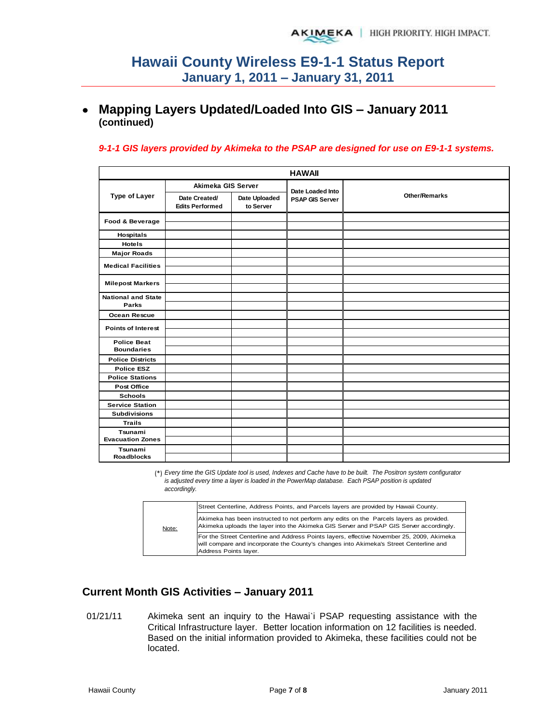## **Mapping Layers Updated/Loaded Into GIS – January 2011 (continued)**

#### *9-1-1 GIS layers provided by Akimeka to the PSAP are designed for use on E9-1-1 systems.*

| <b>HAWAII</b>                      |                                         |                            |                        |                      |  |  |  |  |  |
|------------------------------------|-----------------------------------------|----------------------------|------------------------|----------------------|--|--|--|--|--|
|                                    | Akimeka GIS Server                      |                            | Date Loaded Into       |                      |  |  |  |  |  |
| <b>Type of Layer</b>               | Date Created/<br><b>Edits Performed</b> | Date Uploaded<br>to Server | <b>PSAP GIS Server</b> | <b>Other/Remarks</b> |  |  |  |  |  |
| Food & Beverage                    |                                         |                            |                        |                      |  |  |  |  |  |
| Hospitals                          |                                         |                            |                        |                      |  |  |  |  |  |
| <b>Hotels</b>                      |                                         |                            |                        |                      |  |  |  |  |  |
| <b>Major Roads</b>                 |                                         |                            |                        |                      |  |  |  |  |  |
| <b>Medical Facilities</b>          |                                         |                            |                        |                      |  |  |  |  |  |
|                                    |                                         |                            |                        |                      |  |  |  |  |  |
| <b>Milepost Markers</b>            |                                         |                            |                        |                      |  |  |  |  |  |
|                                    |                                         |                            |                        |                      |  |  |  |  |  |
| <b>National and State</b><br>Parks |                                         |                            |                        |                      |  |  |  |  |  |
| Ocean Rescue                       |                                         |                            |                        |                      |  |  |  |  |  |
|                                    |                                         |                            |                        |                      |  |  |  |  |  |
| <b>Points of Interest</b>          |                                         |                            |                        |                      |  |  |  |  |  |
| <b>Police Beat</b>                 |                                         |                            |                        |                      |  |  |  |  |  |
| <b>Boundaries</b>                  |                                         |                            |                        |                      |  |  |  |  |  |
| <b>Police Districts</b>            |                                         |                            |                        |                      |  |  |  |  |  |
| <b>Police ESZ</b>                  |                                         |                            |                        |                      |  |  |  |  |  |
| <b>Police Stations</b>             |                                         |                            |                        |                      |  |  |  |  |  |
| <b>Post Office</b>                 |                                         |                            |                        |                      |  |  |  |  |  |
| <b>Schools</b>                     |                                         |                            |                        |                      |  |  |  |  |  |
| <b>Service Station</b>             |                                         |                            |                        |                      |  |  |  |  |  |
| <b>Subdivisions</b>                |                                         |                            |                        |                      |  |  |  |  |  |
| <b>Trails</b>                      |                                         |                            |                        |                      |  |  |  |  |  |
| Tsunami                            |                                         |                            |                        |                      |  |  |  |  |  |
| <b>Evacuation Zones</b>            |                                         |                            |                        |                      |  |  |  |  |  |
| Tsunami<br><b>Roadblocks</b>       |                                         |                            |                        |                      |  |  |  |  |  |

(\*) *Every time the GIS Update tool is used, Indexes and Cache have to be built. The Positron system configurator is adjusted every time a layer is loaded in the PowerMap database. Each PSAP position is updated accordingly.*

|       | Street Centerline, Address Points, and Parcels layers are provided by Hawaii County.                                                                                                                         |
|-------|--------------------------------------------------------------------------------------------------------------------------------------------------------------------------------------------------------------|
| Note: | Akimeka has been instructed to not perform any edits on the Parcels layers as provided.<br>Akimeka uploads the layer into the Akimeka GIS Server and PSAP GIS Server accordingly.                            |
|       | For the Street Centerline and Address Points layers, effective November 25, 2009, Akimeka<br>will compare and incorporate the County's changes into Akimeka's Street Centerline and<br>Address Points layer. |

### **Current Month GIS Activities – January 2011**

01/21/11 Akimeka sent an inquiry to the Hawai'i PSAP requesting assistance with the Critical Infrastructure layer. Better location information on 12 facilities is needed. Based on the initial information provided to Akimeka, these facilities could not be located.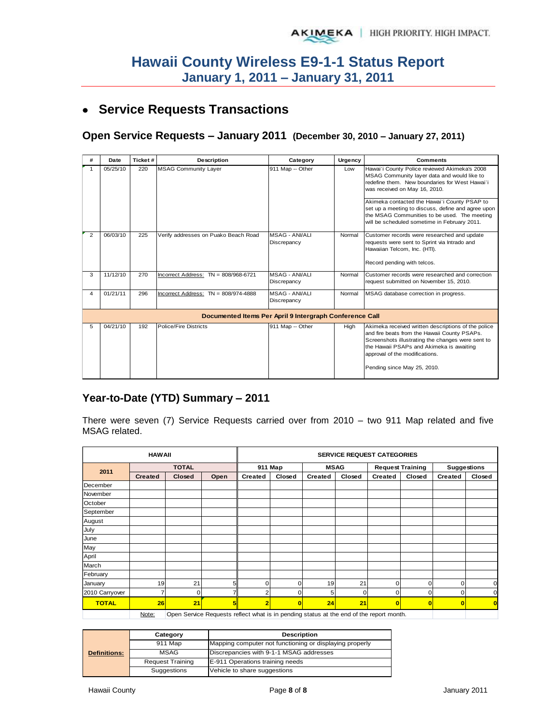## **Service Requests Transactions**

### **Open Service Requests – January 2011 (December 30, 2010 – January 27, 2011)**

| #              | Date     | Ticket# | <b>Description</b>                     | Category                                                | Urgency | <b>Comments</b>                                                                                                                                                                                                                                                       |
|----------------|----------|---------|----------------------------------------|---------------------------------------------------------|---------|-----------------------------------------------------------------------------------------------------------------------------------------------------------------------------------------------------------------------------------------------------------------------|
|                | 05/25/10 | 220     | <b>MSAG Community Layer</b>            | 911 Map -- Other                                        | Low     | Hawai'i County Police reviewed Akimeka's 2008<br>MSAG Community layer data and would like to<br>redefine them. New boundaries for West Hawai'i<br>was received on May 16, 2010.<br>Akimeka contacted the Hawai'i County PSAP to                                       |
|                |          |         |                                        |                                                         |         | set up a meeting to discuss, define and agree upon<br>the MSAG Communities to be used. The meeting<br>will be scheduled sometime in February 2011.                                                                                                                    |
| $\overline{2}$ | 06/03/10 | 225     | Verify addresses on Puako Beach Road   | <b>MSAG - ANI/ALI</b><br>Discrepancy                    | Normal  | Customer records were researched and update<br>requests were sent to Sprint via Intrado and<br>Hawaiian Telcom, Inc. (HTI).                                                                                                                                           |
|                |          |         |                                        |                                                         |         | Record pending with telcos.                                                                                                                                                                                                                                           |
| 3              | 11/12/10 | 270     | Incorrect Address: $TN = 808/968-6721$ | <b>MSAG - ANI/ALI</b><br>Discrepancy                    | Normal  | Customer records were researched and correction<br>request submitted on November 15, 2010.                                                                                                                                                                            |
| 4              | 01/21/11 | 296     | Incorrect Address: $TN = 808/974-4888$ | MSAG - ANI/ALI<br>Discrepancy                           | Normal  | MSAG database correction in progress.                                                                                                                                                                                                                                 |
|                |          |         |                                        | Documented Items Per April 9 Intergraph Conference Call |         |                                                                                                                                                                                                                                                                       |
| 5              | 04/21/10 | 192     | Police/Fire Districts                  | 911 Map -- Other                                        | High    | Akimeka received written descriptions of the police<br>and fire beats from the Hawaii County PSAPs.<br>Screenshots illustrating the changes were sent to<br>the Hawaii PSAPs and Akimeka is awaiting<br>approval of the modifications.<br>Pending since May 25, 2010. |

### **Year-to-Date (YTD) Summary – 2011**

There were seven (7) Service Requests carried over from 2010 – two 911 Map related and five MSAG related.

|                | <b>HAW AII</b> |               |                                                                                       |                | <b>SERVICE REQUEST CATEGORIES</b> |             |        |                |                         |                    |             |  |
|----------------|----------------|---------------|---------------------------------------------------------------------------------------|----------------|-----------------------------------|-------------|--------|----------------|-------------------------|--------------------|-------------|--|
|                |                | <b>TOTAL</b>  |                                                                                       | 911 Map        |                                   | <b>MSAG</b> |        |                | <b>Request Training</b> | <b>Suggestions</b> |             |  |
| 2011           | <b>Created</b> | <b>Closed</b> | Open                                                                                  | <b>Created</b> | Closed<br>Created                 |             | Closed | <b>Created</b> | Closed                  | <b>Created</b>     | Closed      |  |
| December       |                |               |                                                                                       |                |                                   |             |        |                |                         |                    |             |  |
| November       |                |               |                                                                                       |                |                                   |             |        |                |                         |                    |             |  |
| October        |                |               |                                                                                       |                |                                   |             |        |                |                         |                    |             |  |
| September      |                |               |                                                                                       |                |                                   |             |        |                |                         |                    |             |  |
| August         |                |               |                                                                                       |                |                                   |             |        |                |                         |                    |             |  |
| July           |                |               |                                                                                       |                |                                   |             |        |                |                         |                    |             |  |
| June           |                |               |                                                                                       |                |                                   |             |        |                |                         |                    |             |  |
| May            |                |               |                                                                                       |                |                                   |             |        |                |                         |                    |             |  |
| April          |                |               |                                                                                       |                |                                   |             |        |                |                         |                    |             |  |
| March          |                |               |                                                                                       |                |                                   |             |        |                |                         |                    |             |  |
| February       |                |               |                                                                                       |                |                                   |             |        |                |                         |                    |             |  |
| January        | 19             | 21            | 5                                                                                     |                | $\Omega$                          | 19          | 21     | $\Omega$       | 0                       | 0                  | $\mathbf 0$ |  |
| 2010 Carryover | 7              | n             |                                                                                       |                | O                                 | 5           | O      | $\Omega$       | 0                       | 0                  | $\mathbf 0$ |  |
| <b>TOTAL</b>   | 26             | 21            | 5                                                                                     | 2              | $\overline{\mathbf{0}}$           | 24          | 21     | $\overline{0}$ | $\bf{0}$                | $\overline{0}$     | $\bf{0}$    |  |
|                | N <sub>0</sub> |               | Open Senice Requests reflect what is in pending status at the end of the report menth |                |                                   |             |        |                |                         |                    |             |  |

Note: Open Service Requests reflect what is in pending status at the end of the report month.

|                     | Category                | <b>Description</b>                                      |  |  |  |  |
|---------------------|-------------------------|---------------------------------------------------------|--|--|--|--|
| <b>Definitions:</b> | 911 Map                 | Mapping computer not functioning or displaying properly |  |  |  |  |
|                     | <b>MSAG</b>             | Discrepancies with 9-1-1 MSAG addresses                 |  |  |  |  |
|                     | <b>Request Training</b> | E-911 Operations training needs                         |  |  |  |  |
|                     | Suggestions             | Vehicle to share suggestions                            |  |  |  |  |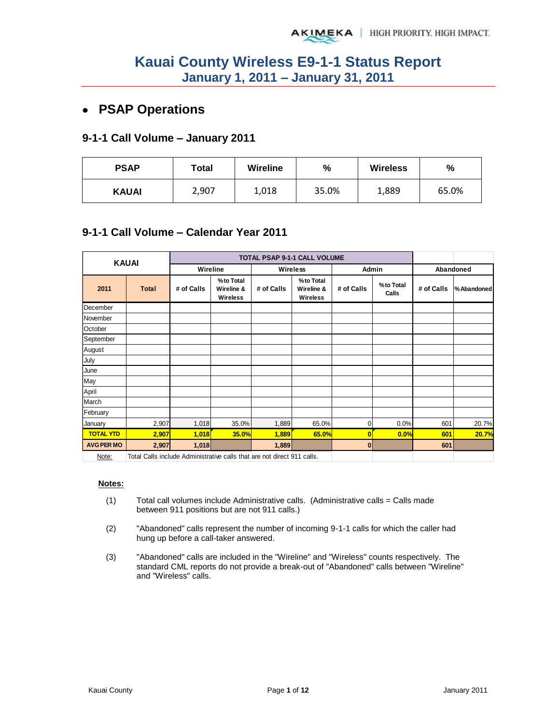## **PSAP Operations**

#### **9-1-1 Call Volume – January 2011**

| <b>PSAP</b>  | Total |       | %     | <b>Wireless</b> | $\frac{0}{0}$ |  |
|--------------|-------|-------|-------|-----------------|---------------|--|
| <b>KAUAI</b> | 2,907 | 1,018 | 35.0% | 1,889           | 65.0%         |  |

### **9-1-1 Call Volume – Calendar Year 2011**

|                                   | <b>KAUAI</b>                                                                                                           |            |                                     |            | TOTAL PSAP 9-1-1 CALL VOLUME        |            |                    |            |            |
|-----------------------------------|------------------------------------------------------------------------------------------------------------------------|------------|-------------------------------------|------------|-------------------------------------|------------|--------------------|------------|------------|
|                                   |                                                                                                                        | Wireline   |                                     | Wireless   |                                     | Admin      |                    |            | Abandoned  |
| 2011                              | <b>Total</b>                                                                                                           | # of Calls | %to Total<br>Wireline &<br>Wireless | # of Calls | %to Total<br>Wireline &<br>Wireless | # of Calls | %to Total<br>Calls | # of Calls | %Abandoned |
| December                          |                                                                                                                        |            |                                     |            |                                     |            |                    |            |            |
| November                          |                                                                                                                        |            |                                     |            |                                     |            |                    |            |            |
| October                           |                                                                                                                        |            |                                     |            |                                     |            |                    |            |            |
| September                         |                                                                                                                        |            |                                     |            |                                     |            |                    |            |            |
| August                            |                                                                                                                        |            |                                     |            |                                     |            |                    |            |            |
| July                              |                                                                                                                        |            |                                     |            |                                     |            |                    |            |            |
| June                              |                                                                                                                        |            |                                     |            |                                     |            |                    |            |            |
| May                               |                                                                                                                        |            |                                     |            |                                     |            |                    |            |            |
| April                             |                                                                                                                        |            |                                     |            |                                     |            |                    |            |            |
| March                             |                                                                                                                        |            |                                     |            |                                     |            |                    |            |            |
| February                          |                                                                                                                        |            |                                     |            |                                     |            |                    |            |            |
| <b>January</b>                    | 2,907                                                                                                                  | 1,018      | 35.0%                               | 1,889      | 65.0%                               | 0          | 0.0%               | 601        | 20.7%      |
| <b>TOTAL YTD</b>                  | 2,907                                                                                                                  | 1,018      | <b>35.0%</b>                        | 1,889      | 65.0%                               | 0          | 0.0%               | 601        | 20.7%      |
| <b>AVG PER MO</b><br>$81 - 6 - 1$ | 2,907<br>$\tau$ and $\Delta$ -the functional contract the second of the state of the second $\Delta A$ and $\tau$ -the | 1,018      |                                     | 1,889      |                                     | $\bf{0}$   |                    | 601        |            |

Note: Total Calls include Administrative calls that are not direct 911 calls.

#### **Notes:**

- (1) Total call volumes include Administrative calls. (Administrative calls = Calls made between 911 positions but are not 911 calls.)
- (2) "Abandoned" calls represent the number of incoming 9-1-1 calls for which the caller had hung up before a call-taker answered.
- (3) "Abandoned" calls are included in the "Wireline" and "Wireless" counts respectively. The standard CML reports do not provide a break-out of "Abandoned" calls between "Wireline" and "Wireless" calls.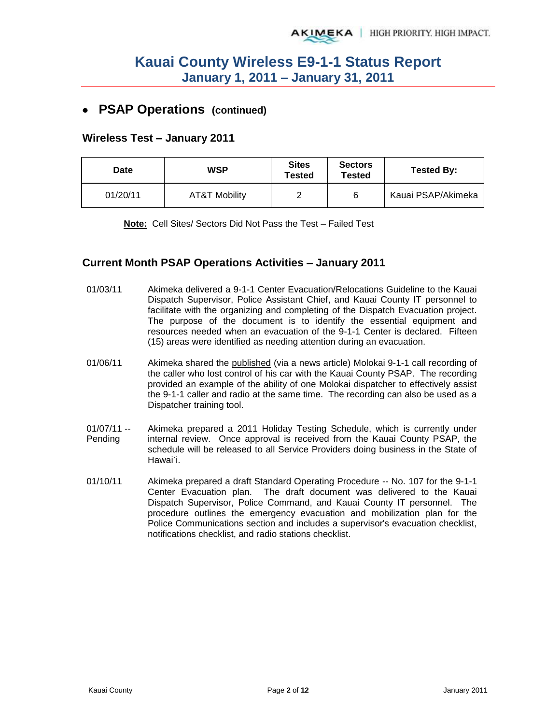## **PSAP Operations (continued)**

#### **Wireless Test – January 2011**

| Date     | <b>WSP</b>    | <b>Sites</b><br>Tested | <b>Sectors</b><br><b>Tested</b> | <b>Tested By:</b>  |  |
|----------|---------------|------------------------|---------------------------------|--------------------|--|
| 01/20/11 | AT&T Mobility |                        | 6                               | Kauai PSAP/Akimeka |  |

**Note:** Cell Sites/ Sectors Did Not Pass the Test – Failed Test

#### **Current Month PSAP Operations Activities – January 2011**

- 01/03/11 Akimeka delivered a 9-1-1 Center Evacuation/Relocations Guideline to the Kauai Dispatch Supervisor, Police Assistant Chief, and Kauai County IT personnel to facilitate with the organizing and completing of the Dispatch Evacuation project. The purpose of the document is to identify the essential equipment and resources needed when an evacuation of the 9-1-1 Center is declared. Fifteen (15) areas were identified as needing attention during an evacuation.
- 01/06/11 Akimeka shared the published (via a news article) Molokai 9-1-1 call recording of the caller who lost control of his car with the Kauai County PSAP. The recording provided an example of the ability of one Molokai dispatcher to effectively assist the 9-1-1 caller and radio at the same time. The recording can also be used as a Dispatcher training tool.
- $01/07/11 -$ Pending Akimeka prepared a 2011 Holiday Testing Schedule, which is currently under internal review. Once approval is received from the Kauai County PSAP, the schedule will be released to all Service Providers doing business in the State of Hawai`i.
- 01/10/11 Akimeka prepared a draft Standard Operating Procedure -- No. 107 for the 9-1-1 Center Evacuation plan. The draft document was delivered to the Kauai Dispatch Supervisor, Police Command, and Kauai County IT personnel. The procedure outlines the emergency evacuation and mobilization plan for the Police Communications section and includes a supervisor's evacuation checklist, notifications checklist, and radio stations checklist.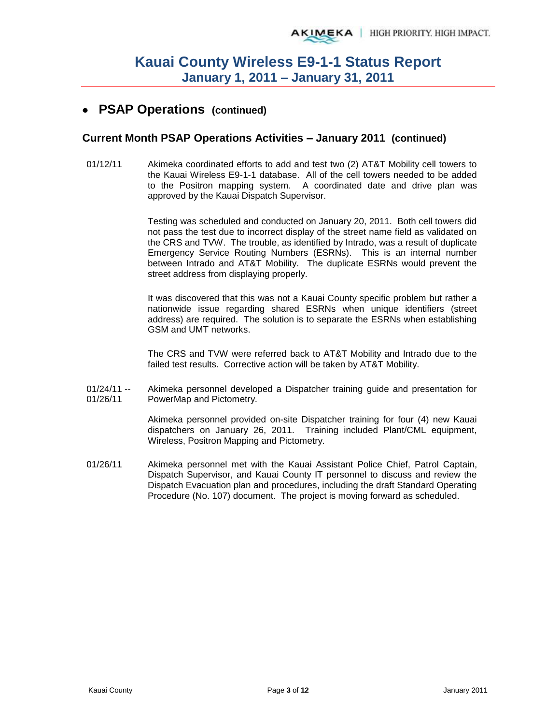## **PSAP Operations (continued)**

#### **Current Month PSAP Operations Activities – January 2011 (continued)**

01/12/11 Akimeka coordinated efforts to add and test two (2) AT&T Mobility cell towers to the Kauai Wireless E9-1-1 database. All of the cell towers needed to be added to the Positron mapping system. A coordinated date and drive plan was approved by the Kauai Dispatch Supervisor.

> Testing was scheduled and conducted on January 20, 2011. Both cell towers did not pass the test due to incorrect display of the street name field as validated on the CRS and TVW. The trouble, as identified by Intrado, was a result of duplicate Emergency Service Routing Numbers (ESRNs). This is an internal number between Intrado and AT&T Mobility. The duplicate ESRNs would prevent the street address from displaying properly.

> It was discovered that this was not a Kauai County specific problem but rather a nationwide issue regarding shared ESRNs when unique identifiers (street address) are required. The solution is to separate the ESRNs when establishing GSM and UMT networks.

> The CRS and TVW were referred back to AT&T Mobility and Intrado due to the failed test results. Corrective action will be taken by AT&T Mobility.

 $01/24/11 -$ 01/26/11 Akimeka personnel developed a Dispatcher training guide and presentation for PowerMap and Pictometry.

> Akimeka personnel provided on-site Dispatcher training for four (4) new Kauai dispatchers on January 26, 2011. Training included Plant/CML equipment, Wireless, Positron Mapping and Pictometry.

01/26/11 Akimeka personnel met with the Kauai Assistant Police Chief, Patrol Captain, Dispatch Supervisor, and Kauai County IT personnel to discuss and review the Dispatch Evacuation plan and procedures, including the draft Standard Operating Procedure (No. 107) document. The project is moving forward as scheduled.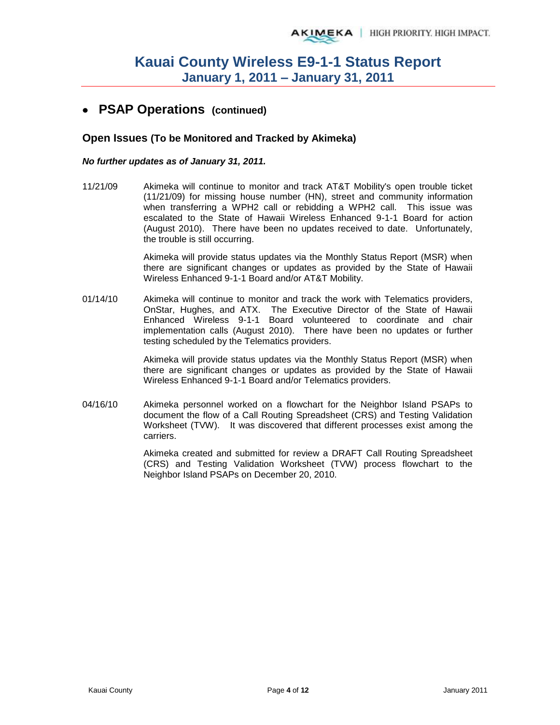## **PSAP Operations (continued)**

#### **Open Issues (To be Monitored and Tracked by Akimeka)**

#### *No further updates as of January 31, 2011.*

11/21/09 Akimeka will continue to monitor and track AT&T Mobility's open trouble ticket (11/21/09) for missing house number (HN), street and community information when transferring a WPH2 call or rebidding a WPH2 call. This issue was escalated to the State of Hawaii Wireless Enhanced 9-1-1 Board for action (August 2010). There have been no updates received to date. Unfortunately, the trouble is still occurring.

> Akimeka will provide status updates via the Monthly Status Report (MSR) when there are significant changes or updates as provided by the State of Hawaii Wireless Enhanced 9-1-1 Board and/or AT&T Mobility.

01/14/10 Akimeka will continue to monitor and track the work with Telematics providers, OnStar, Hughes, and ATX. The Executive Director of the State of Hawaii Enhanced Wireless 9-1-1 Board volunteered to coordinate and chair implementation calls (August 2010). There have been no updates or further testing scheduled by the Telematics providers.

> Akimeka will provide status updates via the Monthly Status Report (MSR) when there are significant changes or updates as provided by the State of Hawaii Wireless Enhanced 9-1-1 Board and/or Telematics providers.

04/16/10 Akimeka personnel worked on a flowchart for the Neighbor Island PSAPs to document the flow of a Call Routing Spreadsheet (CRS) and Testing Validation Worksheet (TVW). It was discovered that different processes exist among the carriers.

> Akimeka created and submitted for review a DRAFT Call Routing Spreadsheet (CRS) and Testing Validation Worksheet (TVW) process flowchart to the Neighbor Island PSAPs on December 20, 2010.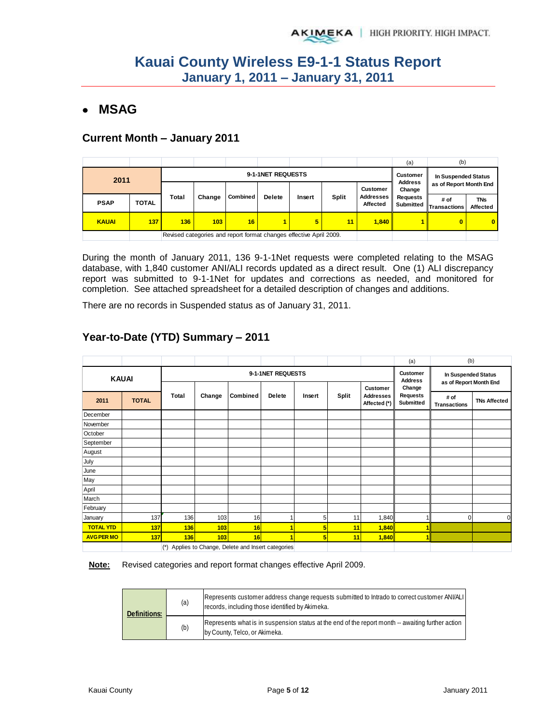## **MSAG**

### **Current Month – January 2011**

|              |              |                   |        |                                                                    |               |        |       |                         | (a)                          | (b)                    |                        |
|--------------|--------------|-------------------|--------|--------------------------------------------------------------------|---------------|--------|-------|-------------------------|------------------------------|------------------------|------------------------|
| 2011         |              | 9-1-1NET REQUESTS |        |                                                                    |               |        |       |                         |                              | In Suspended Status    |                        |
|              |              |                   |        |                                                                    |               |        |       | <b>Customer</b>         | <b>Address</b><br>Change     | as of Report Month End |                        |
| <b>PSAP</b>  | <b>TOTAL</b> | Total             | Change | Combined                                                           | <b>Delete</b> | Insert | Split | Addresses I<br>Affected | <b>Requests</b><br>Submitted | # of<br>ITransactions  | <b>TNs</b><br>Affected |
| <b>KAUAI</b> | 137          | 136               | 103    | 16                                                                 |               | 5      | 11    | 1.840                   |                              | $\bf{0}$               | $\bf{0}$               |
|              |              |                   |        | Revised categories and report format changes effective April 2009. |               |        |       |                         |                              |                        |                        |

During the month of January 2011, 136 9-1-1Net requests were completed relating to the MSAG database, with 1,840 customer ANI/ALI records updated as a direct result. One (1) ALI discrepancy report was submitted to 9-1-1Net for updates and corrections as needed, and monitored for completion. See attached spreadsheet for a detailed description of changes and additions.

There are no records in Suspended status as of January 31, 2011.

### **Year-to-Date (YTD) Summary – 2011**

|                   |              |             |        |                                                 |                            |                     |       |                                  | (a)                   | (b)                         |                     |
|-------------------|--------------|-------------|--------|-------------------------------------------------|----------------------------|---------------------|-------|----------------------------------|-----------------------|-----------------------------|---------------------|
| <b>KAUAI</b>      |              |             |        | 9-1-1NET REQUESTS                               | Customer<br><b>Address</b> | In Suspended Status |       |                                  |                       |                             |                     |
|                   |              |             |        |                                                 |                            |                     |       | Customer                         | Change                | as of Report Month End      |                     |
| 2011              | <b>TOTAL</b> | Total       | Change | Combined                                        | <b>Delete</b>              | Insert              | Split | <b>Addresses</b><br>Affected (*) | Requests<br>Submitted | # of<br><b>Transactions</b> | <b>TNs Affected</b> |
| December          |              |             |        |                                                 |                            |                     |       |                                  |                       |                             |                     |
| November          |              |             |        |                                                 |                            |                     |       |                                  |                       |                             |                     |
| October           |              |             |        |                                                 |                            |                     |       |                                  |                       |                             |                     |
| September         |              |             |        |                                                 |                            |                     |       |                                  |                       |                             |                     |
| August            |              |             |        |                                                 |                            |                     |       |                                  |                       |                             |                     |
| July              |              |             |        |                                                 |                            |                     |       |                                  |                       |                             |                     |
| June              |              |             |        |                                                 |                            |                     |       |                                  |                       |                             |                     |
| May               |              |             |        |                                                 |                            |                     |       |                                  |                       |                             |                     |
| April             |              |             |        |                                                 |                            |                     |       |                                  |                       |                             |                     |
| March             |              |             |        |                                                 |                            |                     |       |                                  |                       |                             |                     |
| February          |              |             |        |                                                 |                            |                     |       |                                  |                       |                             |                     |
| January           | 137          | 136         | 103    | 16                                              |                            | 5                   | 11    | 1,840                            | 1                     | 0                           | $\Omega$            |
| <b>TOTAL YTD</b>  | 137          | 136         | 103    | 16                                              |                            | 5                   | 11    | 1,840                            |                       |                             |                     |
| <b>AVG PER MO</b> | 137          | 136         | 103    | 16                                              |                            | 5                   | 11    | 1,840                            | 4                     |                             |                     |
|                   |              | $(\dot{z})$ |        | Applies to Change, Delete and Insert categories |                            |                     |       |                                  |                       |                             |                     |

**Note:** Revised categories and report format changes effective April 2009.

| <b>Definitions:</b> | (a) | Represents customer address change requests submitted to Intrado to correct customer ANI/ALI<br>records, including those identified by Akimeka. |
|---------------------|-----|-------------------------------------------------------------------------------------------------------------------------------------------------|
|                     | (b) | Represents what is in suspension status at the end of the report month -- awaiting further action<br>by County, Telco, or Akimeka.              |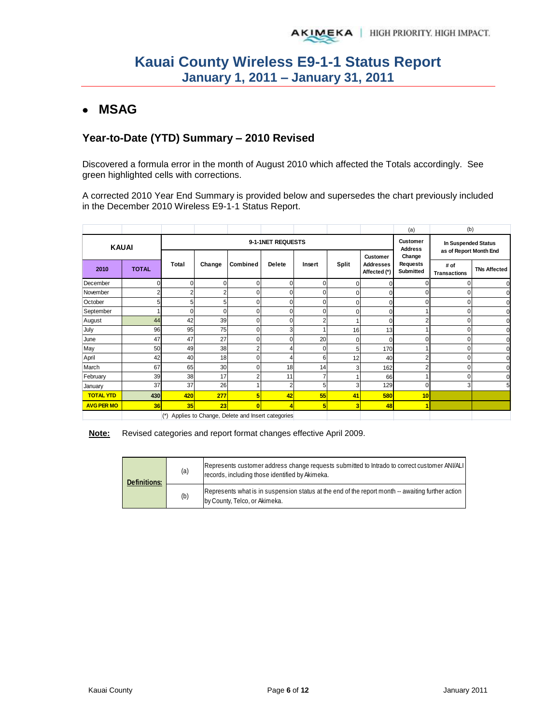## **MSAG**

### **Year-to-Date (YTD) Summary – 2010 Revised**

Discovered a formula error in the month of August 2010 which affected the Totals accordingly. See green highlighted cells with corrections.

A corrected 2010 Year End Summary is provided below and supersedes the chart previously included in the December 2010 Wireless E9-1-1 Status Report.

|                   |              |          |        |                                                 |                |                                   |                                               |                                                     | (a)                                    | (b)                         |                     |
|-------------------|--------------|----------|--------|-------------------------------------------------|----------------|-----------------------------------|-----------------------------------------------|-----------------------------------------------------|----------------------------------------|-----------------------------|---------------------|
| <b>KAUAI</b>      |              |          |        | 9-1-1NET REQUESTS                               |                | <b>Customer</b><br><b>Address</b> | In Suspended Status<br>as of Report Month End |                                                     |                                        |                             |                     |
| 2010              | <b>TOTAL</b> |          | Change | Combined                                        | <b>Delete</b>  | Insert                            | Split                                         | <b>Customer</b><br><b>Addresses</b><br>Affected (*) | Change<br><b>Requests</b><br>Submitted | # of<br><b>Transactions</b> | <b>TNs Affected</b> |
| December          |              | $\Omega$ | 0      | $\Omega$                                        | $\overline{0}$ | 0                                 | 0                                             |                                                     |                                        |                             |                     |
| November          |              | 2        | 2      | $\mathbf 0$                                     | 0              | 0                                 | O                                             |                                                     | $\Omega$                               |                             |                     |
| October           |              | 5        | 5      | $\mathbf 0$                                     | $\mathbf{0}$   | 0                                 | 0                                             | 0                                                   | $\Omega$                               |                             |                     |
| September         |              | C        | O      | $\mathbf 0$                                     | $\overline{0}$ | 0                                 | 0                                             |                                                     |                                        |                             |                     |
| August            | 44           | 42       | 39     | $\Omega$                                        | 0              | $\overline{c}$                    |                                               |                                                     | $\overline{2}$                         |                             |                     |
| July              | 96           | 95       | 75     | $\mathbf 0$                                     | 3 <sup>1</sup> |                                   | 16                                            | 13                                                  |                                        | በ                           |                     |
| June              | 47           | 47       | 27     | $\mathbf 0$                                     | $\overline{0}$ | 20                                | 0                                             | 0                                                   | $\Omega$                               | 0                           |                     |
| May               | 50           | 49       | 38     | 2                                               | 4              | 0                                 | 5                                             | 170                                                 |                                        |                             |                     |
| April             | 42           | 40       | 18     | $\Omega$                                        | 4              | 6                                 | 12                                            | 40                                                  | $\overline{2}$                         |                             |                     |
| March             | 67           | 65       | 30     | $\Omega$                                        | 18             | 14                                | 3                                             | 162                                                 | $\overline{2}$                         |                             |                     |
| February          | 39           | 38       | 17     | 2                                               | 11             |                                   |                                               | 66                                                  |                                        |                             |                     |
| January           | 37           | 37       | 26     |                                                 | $\overline{2}$ | 5                                 | 3                                             | 129                                                 | $\Omega$                               | 3                           |                     |
| <b>TOTAL YTD</b>  | <b>430</b>   | 420      | 277    | 5                                               | 42             | 55                                | 41                                            | 580                                                 | 10 <sup>1</sup>                        |                             |                     |
| <b>AVG PER MO</b> | 36           | 35       | 23     | O                                               | 4              | 5                                 | 3                                             | 48                                                  | $\blacktriangleleft$                   |                             |                     |
|                   |              | $(*)$    |        | Applies to Change, Delete and Insert categories |                |                                   |                                               |                                                     |                                        |                             |                     |

**Note:** Revised categories and report format changes effective April 2009.

| <b>Definitions:</b> | (a) | Represents customer address change requests submitted to Intrado to correct customer ANI/ALI<br>records, including those identified by Akimeka. |
|---------------------|-----|-------------------------------------------------------------------------------------------------------------------------------------------------|
|                     | (b) | Represents what is in suspension status at the end of the report month -- awaiting further action<br>by County, Telco, or Akimeka.              |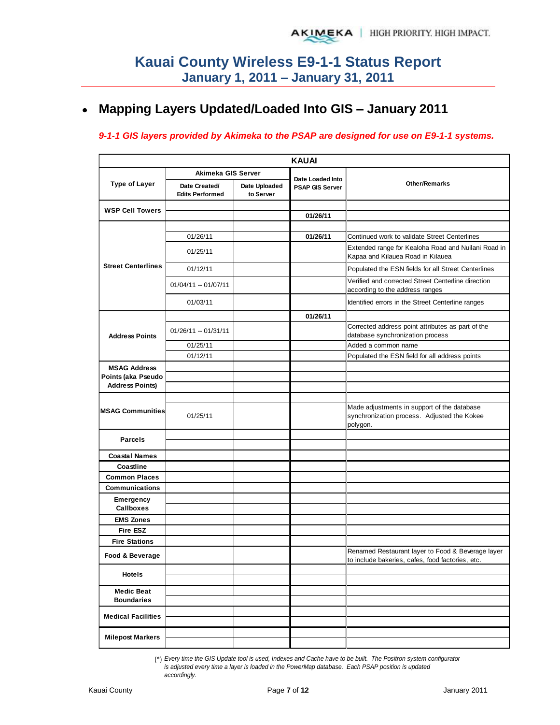#### **Mapping Layers Updated/Loaded Into GIS – January 2011**  $\bullet$

#### *9-1-1 GIS layers provided by Akimeka to the PSAP are designed for use on E9-1-1 systems.*

|                                              |                                         |                            | <b>KAUAI</b>                                      |                                                                                                        |
|----------------------------------------------|-----------------------------------------|----------------------------|---------------------------------------------------|--------------------------------------------------------------------------------------------------------|
|                                              | Akimeka GIS Server                      |                            |                                                   |                                                                                                        |
| <b>Type of Layer</b>                         | Date Created/<br><b>Edits Performed</b> | Date Uploaded<br>to Server | <b>Date Loaded Into</b><br><b>PSAP GIS Server</b> | <b>Other/Remarks</b>                                                                                   |
| <b>WSP Cell Towers</b>                       |                                         |                            |                                                   |                                                                                                        |
|                                              |                                         |                            | 01/26/11                                          |                                                                                                        |
|                                              |                                         |                            |                                                   |                                                                                                        |
|                                              | 01/26/11                                |                            | 01/26/11                                          | Continued work to validate Street Centerlines                                                          |
|                                              | 01/25/11                                |                            |                                                   | Extended range for Kealoha Road and Nuilani Road in<br>Kapaa and Kilauea Road in Kilauea               |
| <b>Street Centerlines</b>                    | 01/12/11                                |                            |                                                   | Populated the ESN fields for all Street Centerlines                                                    |
|                                              | 01/04/11 -- 01/07/11                    |                            |                                                   | Verified and corrected Street Centerline direction<br>according to the address ranges                  |
|                                              | 01/03/11                                |                            |                                                   | Identified errors in the Street Centerline ranges                                                      |
|                                              |                                         |                            | 01/26/11                                          |                                                                                                        |
| <b>Address Points</b>                        | 01/26/11 -- 01/31/11                    |                            |                                                   | Corrected address point attributes as part of the<br>database synchronization process                  |
|                                              | 01/25/11                                |                            |                                                   | Added a common name                                                                                    |
|                                              | 01/12/11                                |                            |                                                   | Populated the ESN field for all address points                                                         |
| <b>MSAG Address</b>                          |                                         |                            |                                                   |                                                                                                        |
| Points (aka Pseudo<br><b>Address Points)</b> |                                         |                            |                                                   |                                                                                                        |
|                                              |                                         |                            |                                                   |                                                                                                        |
| <b>MSAG Communities</b>                      | 01/25/11                                |                            |                                                   | Made adjustments in support of the database<br>synchronization process. Adjusted the Kokee<br>polygon. |
| <b>Parcels</b>                               |                                         |                            |                                                   |                                                                                                        |
| <b>Coastal Names</b>                         |                                         |                            |                                                   |                                                                                                        |
| Coastline                                    |                                         |                            |                                                   |                                                                                                        |
| <b>Common Places</b>                         |                                         |                            |                                                   |                                                                                                        |
| <b>Communications</b>                        |                                         |                            |                                                   |                                                                                                        |
| <b>Emergency</b><br><b>Callboxes</b>         |                                         |                            |                                                   |                                                                                                        |
| <b>EMS Zones</b>                             |                                         |                            |                                                   |                                                                                                        |
| <b>Fire ESZ</b>                              |                                         |                            |                                                   |                                                                                                        |
| <b>Fire Stations</b>                         |                                         |                            |                                                   |                                                                                                        |
| Food & Beverage                              |                                         |                            |                                                   | Renamed Restaurant layer to Food & Beverage layer<br>to include bakeries, cafes, food factories, etc.  |
| Hotels                                       |                                         |                            |                                                   |                                                                                                        |
| <b>Medic Beat</b><br><b>Boundaries</b>       |                                         |                            |                                                   |                                                                                                        |
| <b>Medical Facilities</b>                    |                                         |                            |                                                   |                                                                                                        |
| <b>Milepost Markers</b>                      |                                         |                            |                                                   |                                                                                                        |

(\*) *Every time the GIS Update tool is used, Indexes and Cache have to be built. The Positron system configurator is adjusted every time a layer is loaded in the PowerMap database. Each PSAP position is updated accordingly.*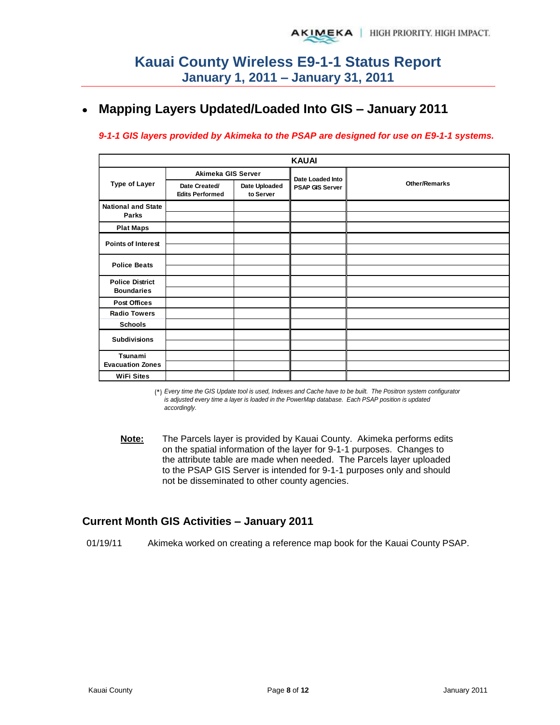## **Mapping Layers Updated/Loaded Into GIS – January 2011**

#### *9-1-1 GIS layers provided by Akimeka to the PSAP are designed for use on E9-1-1 systems.*

|                                             | <b>KAUAI</b>                            |                            |                        |                      |  |  |  |  |  |  |  |  |
|---------------------------------------------|-----------------------------------------|----------------------------|------------------------|----------------------|--|--|--|--|--|--|--|--|
|                                             | Akimeka GIS Server                      |                            | Date Loaded Into       |                      |  |  |  |  |  |  |  |  |
| <b>Type of Layer</b>                        | Date Created/<br><b>Edits Performed</b> | Date Uploaded<br>to Server | <b>PSAP GIS Server</b> | <b>Other/Remarks</b> |  |  |  |  |  |  |  |  |
| <b>National and State</b><br>Parks          |                                         |                            |                        |                      |  |  |  |  |  |  |  |  |
| <b>Plat Maps</b>                            |                                         |                            |                        |                      |  |  |  |  |  |  |  |  |
| <b>Points of Interest</b>                   |                                         |                            |                        |                      |  |  |  |  |  |  |  |  |
| <b>Police Beats</b>                         |                                         |                            |                        |                      |  |  |  |  |  |  |  |  |
| <b>Police District</b><br><b>Boundaries</b> |                                         |                            |                        |                      |  |  |  |  |  |  |  |  |
| <b>Post Offices</b>                         |                                         |                            |                        |                      |  |  |  |  |  |  |  |  |
| <b>Radio Towers</b>                         |                                         |                            |                        |                      |  |  |  |  |  |  |  |  |
| <b>Schools</b>                              |                                         |                            |                        |                      |  |  |  |  |  |  |  |  |
| <b>Subdivisions</b>                         |                                         |                            |                        |                      |  |  |  |  |  |  |  |  |
| Tsunami<br><b>Evacuation Zones</b>          |                                         |                            |                        |                      |  |  |  |  |  |  |  |  |
| <b>WiFi Sites</b>                           |                                         |                            |                        |                      |  |  |  |  |  |  |  |  |

(\*) *Every time the GIS Update tool is used, Indexes and Cache have to be built. The Positron system configurator is adjusted every time a layer is loaded in the PowerMap database. Each PSAP position is updated accordingly.*

**Note:** The Parcels layer is provided by Kauai County. Akimeka performs edits on the spatial information of the layer for 9-1-1 purposes. Changes to the attribute table are made when needed. The Parcels layer uploaded to the PSAP GIS Server is intended for 9-1-1 purposes only and should not be disseminated to other county agencies.

### **Current Month GIS Activities – January 2011**

01/19/11 Akimeka worked on creating a reference map book for the Kauai County PSAP.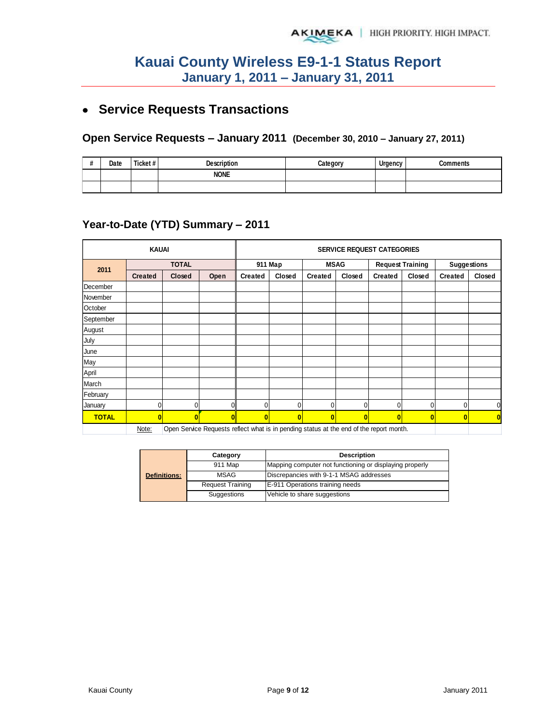## **Service Requests Transactions**

## **Open Service Requests – January 2011 (December 30, 2010 – January 27, 2011)**

| $\boldsymbol{\mu}$<br>$\boldsymbol{\pi}$ | Date | Ticket# | <b>Description</b> | Category | Urgency | <b>Comments</b> |
|------------------------------------------|------|---------|--------------------|----------|---------|-----------------|
|                                          |      |         | <b>NONE</b>        |          |         |                 |
|                                          |      |         |                    |          |         |                 |

### **Year-to-Date (YTD) Summary – 2011**

|              | <b>KAUAI</b>   |               |                                                                                         | <b>SERVICE REQUEST CATEGORIES</b> |              |                |          |                         |              |                    |          |
|--------------|----------------|---------------|-----------------------------------------------------------------------------------------|-----------------------------------|--------------|----------------|----------|-------------------------|--------------|--------------------|----------|
| 2011         |                | <b>TOTAL</b>  |                                                                                         | 911 Map                           |              | <b>MSAG</b>    |          | <b>Request Training</b> |              | <b>Suggestions</b> |          |
|              | <b>Created</b> | <b>Closed</b> | Open                                                                                    | <b>Created</b>                    | Closed       | <b>Created</b> | Closed   | <b>Created</b>          | Closed       | <b>Created</b>     | Closed   |
| December     |                |               |                                                                                         |                                   |              |                |          |                         |              |                    |          |
| November     |                |               |                                                                                         |                                   |              |                |          |                         |              |                    |          |
| October      |                |               |                                                                                         |                                   |              |                |          |                         |              |                    |          |
| September    |                |               |                                                                                         |                                   |              |                |          |                         |              |                    |          |
| August       |                |               |                                                                                         |                                   |              |                |          |                         |              |                    |          |
| July         |                |               |                                                                                         |                                   |              |                |          |                         |              |                    |          |
| June         |                |               |                                                                                         |                                   |              |                |          |                         |              |                    |          |
| May          |                |               |                                                                                         |                                   |              |                |          |                         |              |                    |          |
| April        |                |               |                                                                                         |                                   |              |                |          |                         |              |                    |          |
| March        |                |               |                                                                                         |                                   |              |                |          |                         |              |                    |          |
| February     |                |               |                                                                                         |                                   |              |                |          |                         |              |                    |          |
| January      |                | 0             | U                                                                                       | $\Omega$                          | O            | $\Omega$       | 0        | 0                       | $\mathbf{0}$ | 0                  | 0        |
| <b>TOTAL</b> | $\bf{0}$       | $\mathbf{0}$  | $\bf{0}$                                                                                | $\bf{0}$                          | $\mathbf{0}$ | $\mathbf{0}$   | $\bf{0}$ | $\bf{0}$                | $\mathbf{0}$ | $\bf{0}$           | $\bf{0}$ |
|              | Note:          |               | Open Service Requests reflect what is in pending status at the end of the report month. |                                   |              |                |          |                         |              |                    |          |

|                     | Category                | <b>Description</b>                                      |  |  |  |  |  |
|---------------------|-------------------------|---------------------------------------------------------|--|--|--|--|--|
|                     | 911 Map                 | Mapping computer not functioning or displaying properly |  |  |  |  |  |
| <b>Definitions:</b> | MSAG                    | Discrepancies with 9-1-1 MSAG addresses                 |  |  |  |  |  |
|                     | <b>Request Training</b> | E-911 Operations training needs                         |  |  |  |  |  |
|                     | Suggestions             | Vehicle to share suggestions                            |  |  |  |  |  |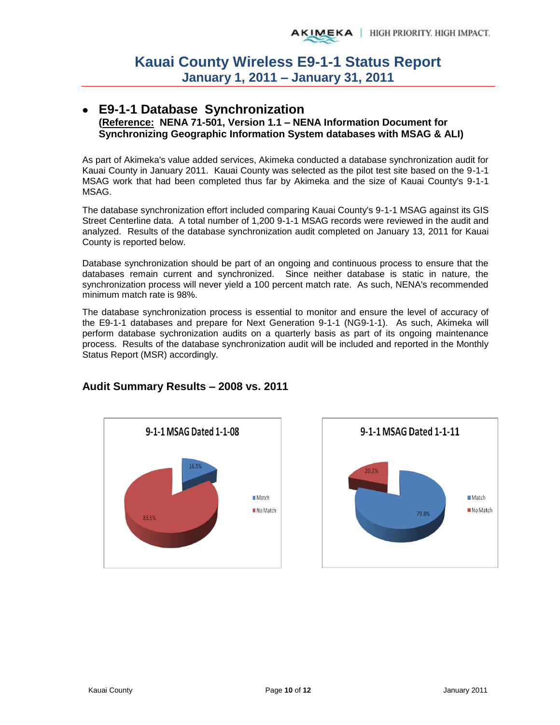#### **E9-1-1 Database Synchronization (Reference: NENA 71-501, Version 1.1 – NENA Information Document for Synchronizing Geographic Information System databases with MSAG & ALI)**

As part of Akimeka's value added services, Akimeka conducted a database synchronization audit for Kauai County in January 2011. Kauai County was selected as the pilot test site based on the 9-1-1 MSAG work that had been completed thus far by Akimeka and the size of Kauai County's 9-1-1 MSAG.

The database synchronization effort included comparing Kauai County's 9-1-1 MSAG against its GIS Street Centerline data. A total number of 1,200 9-1-1 MSAG records were reviewed in the audit and analyzed. Results of the database synchronization audit completed on January 13, 2011 for Kauai County is reported below.

Database synchronization should be part of an ongoing and continuous process to ensure that the databases remain current and synchronized. Since neither database is static in nature, the synchronization process will never yield a 100 percent match rate. As such, NENA's recommended minimum match rate is 98%.

The database synchronization process is essential to monitor and ensure the level of accuracy of the E9-1-1 databases and prepare for Next Generation 9-1-1 (NG9-1-1). As such, Akimeka will perform database sychronization audits on a quarterly basis as part of its ongoing maintenance process. Results of the database synchronization audit will be included and reported in the Monthly Status Report (MSR) accordingly.





### **Audit Summary Results – 2008 vs. 2011**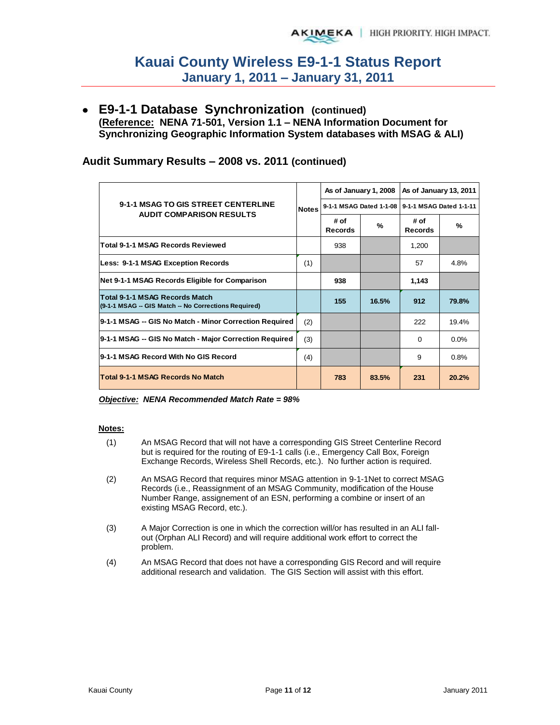**E9-1-1 Database Synchronization (continued) (Reference: NENA 71-501, Version 1.1 – NENA Information Document for Synchronizing Geographic Information System databases with MSAG & ALI)** 

### **Audit Summary Results – 2008 vs. 2011 (continued)**

|                                                                                               |              |                        | As of January 1, 2008   | As of January 13, 2011  |         |  |
|-----------------------------------------------------------------------------------------------|--------------|------------------------|-------------------------|-------------------------|---------|--|
| 9-1-1 MSAG TO GIS STREET CENTERLINE<br><b>AUDIT COMPARISON RESULTS</b>                        | <b>Notes</b> |                        | 9-1-1 MSAG Dated 1-1-08 | 9-1-1 MSAG Dated 1-1-11 |         |  |
|                                                                                               |              | # of<br><b>Records</b> | %                       | # of<br><b>Records</b>  | %       |  |
| <b>Total 9-1-1 MSAG Records Reviewed</b>                                                      |              | 938                    |                         | 1,200                   |         |  |
| Less: 9-1-1 MSAG Exception Records                                                            | (1)          |                        |                         | 57                      | 4.8%    |  |
| Net 9-1-1 MSAG Records Eligible for Comparison                                                |              | 938                    |                         | 1,143                   |         |  |
| <b>Total 9-1-1 MSAG Records Match</b><br>(9-1-1 MSAG -- GIS Match -- No Corrections Required) |              | 155                    | 16.5%                   | 912                     | 79.8%   |  |
| 9-1-1 MSAG -- GIS No Match - Minor Correction Required                                        | (2)          |                        |                         | 222                     | 19.4%   |  |
| 9-1-1 MSAG -- GIS No Match - Major Correction Required                                        | (3)          |                        |                         | $\Omega$                | $0.0\%$ |  |
| 9-1-1 MSAG Record With No GIS Record                                                          | (4)          |                        |                         | 9                       | 0.8%    |  |
| <b>Total 9-1-1 MSAG Records No Match</b>                                                      |              | 783                    | 83.5%                   | 231                     | 20.2%   |  |

*Objective: NENA Recommended Match Rate = 98%* 

#### **Notes:**

- (1) An MSAG Record that will not have a corresponding GIS Street Centerline Record but is required for the routing of E9-1-1 calls (i.e., Emergency Call Box, Foreign Exchange Records, Wireless Shell Records, etc.). No further action is required.
- (2) An MSAG Record that requires minor MSAG attention in 9-1-1Net to correct MSAG Records (i.e., Reassignment of an MSAG Community, modification of the House Number Range, assignement of an ESN, performing a combine or insert of an existing MSAG Record, etc.).
- (3) A Major Correction is one in which the correction will/or has resulted in an ALI fallout (Orphan ALI Record) and will require additional work effort to correct the problem.
- (4) An MSAG Record that does not have a corresponding GIS Record and will require additional research and validation. The GIS Section will assist with this effort.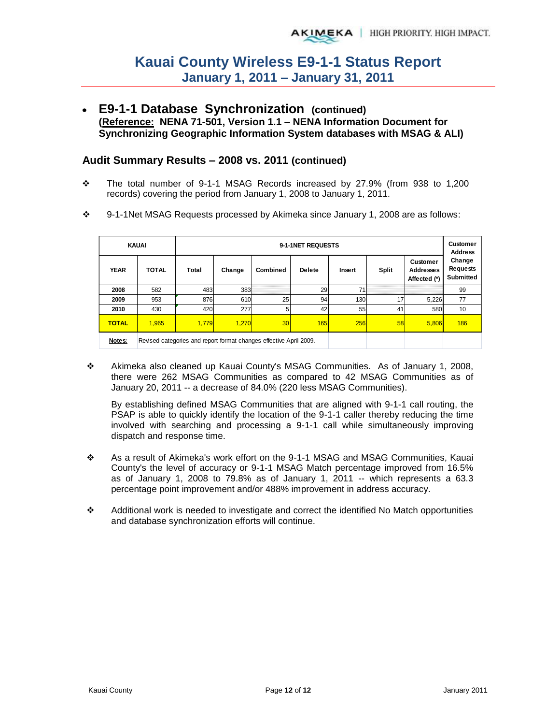**E9-1-1 Database Synchronization (continued) (Reference: NENA 71-501, Version 1.1 – NENA Information Document for Synchronizing Geographic Information System databases with MSAG & ALI)** 

#### **Audit Summary Results – 2008 vs. 2011 (continued)**

- The total number of 9-1-1 MSAG Records increased by 27.9% (from 938 to 1,200 records) covering the period from January 1, 2008 to January 1, 2011.
- 9-1-1Net MSAG Requests processed by Akimeka since January 1, 2008 are as follows:

| <b>KAUAI</b><br>9-1-1NET REQUESTS |              |                                                                    |        |                 |               |        |              |                                              |                                 |  |  |
|-----------------------------------|--------------|--------------------------------------------------------------------|--------|-----------------|---------------|--------|--------------|----------------------------------------------|---------------------------------|--|--|
| <b>YEAR</b>                       | <b>TOTAL</b> | Total                                                              | Change | Combined        | <b>Delete</b> | Insert | <b>Split</b> | Customer<br><b>Addresses</b><br>Affected (*) | Change<br>Requests<br>Submitted |  |  |
| 2008                              | 582          | 483                                                                | 383    |                 | 29            | 71     |              |                                              | 99                              |  |  |
| 2009                              | 953          | 876                                                                | 610    | 25              | 94            | 130    | 17           | 5.226                                        | 77                              |  |  |
| 2010                              | 430          | 420                                                                | 277    | 5               | 42            | 55     | 41           | 580                                          | 10                              |  |  |
| <b>TOTAL</b>                      | 1.965        | 1,779                                                              | 1.270  | 30 <sup>l</sup> | 165           | 256    | 58           | 5.806                                        | 186                             |  |  |
| Notes:                            |              | Revised categories and report format changes effective April 2009. |        |                 |               |        |              |                                              |                                 |  |  |

 Akimeka also cleaned up Kauai County's MSAG Communities. As of January 1, 2008, there were 262 MSAG Communities as compared to 42 MSAG Communities as of January 20, 2011 -- a decrease of 84.0% (220 less MSAG Communities).

By establishing defined MSAG Communities that are aligned with 9-1-1 call routing, the PSAP is able to quickly identify the location of the 9-1-1 caller thereby reducing the time involved with searching and processing a 9-1-1 call while simultaneously improving dispatch and response time.

- As a result of Akimeka's work effort on the 9-1-1 MSAG and MSAG Communities, Kauai County's the level of accuracy or 9-1-1 MSAG Match percentage improved from 16.5% as of January 1, 2008 to 79.8% as of January 1, 2011 -- which represents a 63.3 percentage point improvement and/or 488% improvement in address accuracy.
- Additional work is needed to investigate and correct the identified No Match opportunities and database synchronization efforts will continue.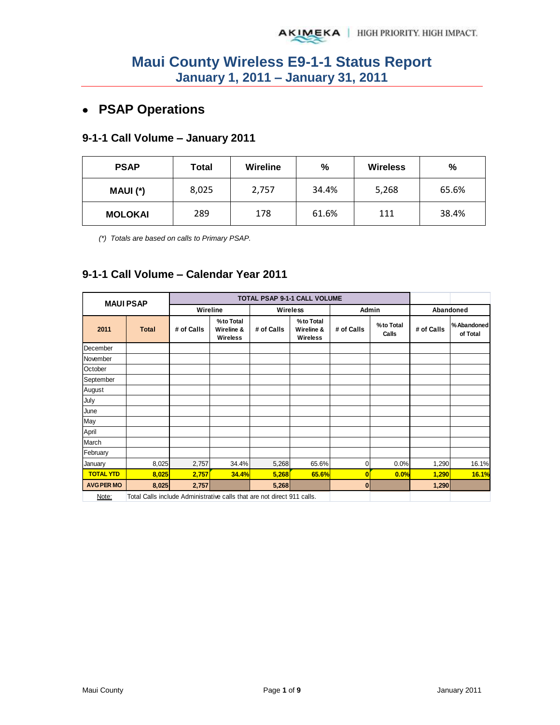## **PSAP Operations**

### **9-1-1 Call Volume – January 2011**

| <b>PSAP</b> | Total | Wireline | %     | <b>Wireless</b> | %     |
|-------------|-------|----------|-------|-----------------|-------|
| MAUI (*)    | 8,025 | 2,757    | 34.4% | 5,268           | 65.6% |
| MOLOKAI     | 289   | 178      | 61.6% | 111             | 38.4% |

*(\*) Totals are based on calls to Primary PSAP.* 

### **9-1-1 Call Volume – Calendar Year 2011**

|                   | <b>MAUI PSAP</b>                                                        |            |                                     |            | <b>TOTAL PSAP 9-1-1 CALL VOLUME</b> |            |                    |            |                        |
|-------------------|-------------------------------------------------------------------------|------------|-------------------------------------|------------|-------------------------------------|------------|--------------------|------------|------------------------|
|                   |                                                                         | Wireline   |                                     | Wireless   |                                     | Admin      |                    | Abandoned  |                        |
| 2011              | <b>Total</b>                                                            | # of Calls | %to Total<br>Wireline &<br>Wireless | # of Calls | %to Total<br>Wireline &<br>Wireless | # of Calls | %to Total<br>Calls | # of Calls | %Abandoned<br>of Total |
| December          |                                                                         |            |                                     |            |                                     |            |                    |            |                        |
| November          |                                                                         |            |                                     |            |                                     |            |                    |            |                        |
| October           |                                                                         |            |                                     |            |                                     |            |                    |            |                        |
| September         |                                                                         |            |                                     |            |                                     |            |                    |            |                        |
| August            |                                                                         |            |                                     |            |                                     |            |                    |            |                        |
| July              |                                                                         |            |                                     |            |                                     |            |                    |            |                        |
| June              |                                                                         |            |                                     |            |                                     |            |                    |            |                        |
| May               |                                                                         |            |                                     |            |                                     |            |                    |            |                        |
| April             |                                                                         |            |                                     |            |                                     |            |                    |            |                        |
| March             |                                                                         |            |                                     |            |                                     |            |                    |            |                        |
| February          |                                                                         |            |                                     |            |                                     |            |                    |            |                        |
| January           | 8,025                                                                   | 2,757      | 34.4%                               | 5,268      | 65.6%                               | 0          | 0.0%               | 1,290      | 16.1%                  |
| <b>TOTAL YTD</b>  | 8,025                                                                   | 2,757      | 34.4%                               | 5,268      | 65.6%                               | O          | 0.0%               | 1,290      | <b>16.1%</b>           |
| <b>AVG PER MO</b> | 8,025                                                                   | 2,757      |                                     | 5,268      |                                     | 0          |                    | 1,290      |                        |
| Note:             | Total Calls include Administrative calls that are not direct 911 calls. |            |                                     |            |                                     |            |                    |            |                        |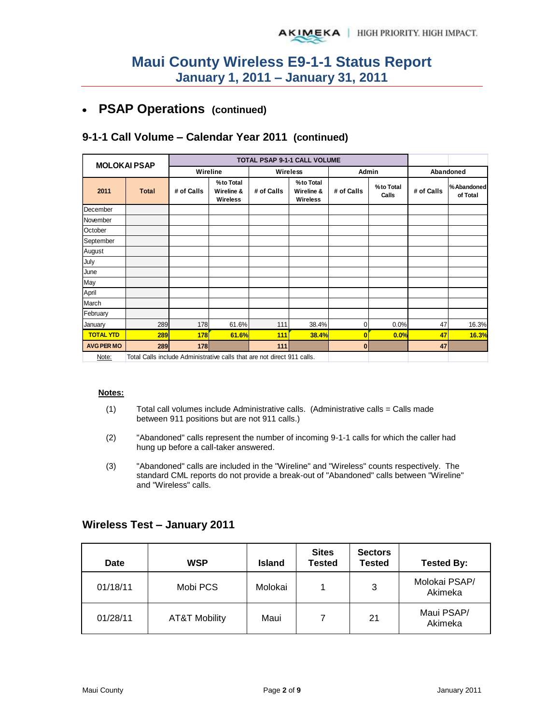#### **PSAP Operations (continued)**   $\bullet$

### **9-1-1 Call Volume – Calendar Year 2011 (continued)**

|                   | <b>MOLOKAI PSAP</b>                                                     |            |                                            |            | <b>TOTAL PSAP 9-1-1 CALL VOLUME</b> |                |                    |            |                         |
|-------------------|-------------------------------------------------------------------------|------------|--------------------------------------------|------------|-------------------------------------|----------------|--------------------|------------|-------------------------|
|                   |                                                                         | Wireline   |                                            | Wireless   |                                     | Admin          |                    |            | Abandoned               |
| 2011              | <b>Total</b>                                                            | # of Calls | %to Total<br>Wireline &<br><b>Wireless</b> | # of Calls | %to Total<br>Wireline &<br>Wireless | # of Calls     | %to Total<br>Calls | # of Calls | % Abandoned<br>of Total |
| December          |                                                                         |            |                                            |            |                                     |                |                    |            |                         |
| November          |                                                                         |            |                                            |            |                                     |                |                    |            |                         |
| October           |                                                                         |            |                                            |            |                                     |                |                    |            |                         |
| September         |                                                                         |            |                                            |            |                                     |                |                    |            |                         |
| August            |                                                                         |            |                                            |            |                                     |                |                    |            |                         |
| July              |                                                                         |            |                                            |            |                                     |                |                    |            |                         |
| June              |                                                                         |            |                                            |            |                                     |                |                    |            |                         |
| May               |                                                                         |            |                                            |            |                                     |                |                    |            |                         |
| April             |                                                                         |            |                                            |            |                                     |                |                    |            |                         |
| March             |                                                                         |            |                                            |            |                                     |                |                    |            |                         |
| February          |                                                                         |            |                                            |            |                                     |                |                    |            |                         |
| January           | 289                                                                     | 178        | 61.6%                                      | 111        | 38.4%                               | $\mathbf 0$    | 0.0%               | 47         | 16.3%                   |
| <b>TOTAL YTD</b>  | 289                                                                     | 178        | 61.6%                                      | 111        | 38.4%                               | 0              | 0.0%               | 47         | 16.3%                   |
| <b>AVG PER MO</b> | 289                                                                     | 178        |                                            | 111        |                                     | $\overline{0}$ |                    | 47         |                         |
| Note:             | Total Calls include Administrative calls that are not direct 911 calls. |            |                                            |            |                                     |                |                    |            |                         |

#### **Notes:**

- $(1)$  Total call volumes include Administrative calls. (Administrative calls = Calls made between 911 positions but are not 911 calls.)
- (2) "Abandoned" calls represent the number of incoming 9-1-1 calls for which the caller had hung up before a call-taker answered.
- (3) "Abandoned" calls are included in the "Wireline" and "Wireless" counts respectively. The standard CML reports do not provide a break-out of "Abandoned" calls between "Wireline" and "Wireless" calls.

| Date     | <b>WSP</b>               | <b>Island</b> | <b>Sites</b><br><b>Tested</b> | <b>Sectors</b><br><b>Tested</b> | <b>Tested By:</b>        |
|----------|--------------------------|---------------|-------------------------------|---------------------------------|--------------------------|
| 01/18/11 | Mobi PCS                 | Molokai       |                               | 3                               | Molokai PSAP/<br>Akimeka |
| 01/28/11 | <b>AT&amp;T Mobility</b> | Maui          |                               | 21                              | Maui PSAP/<br>Akimeka    |

#### **Wireless Test – January 2011**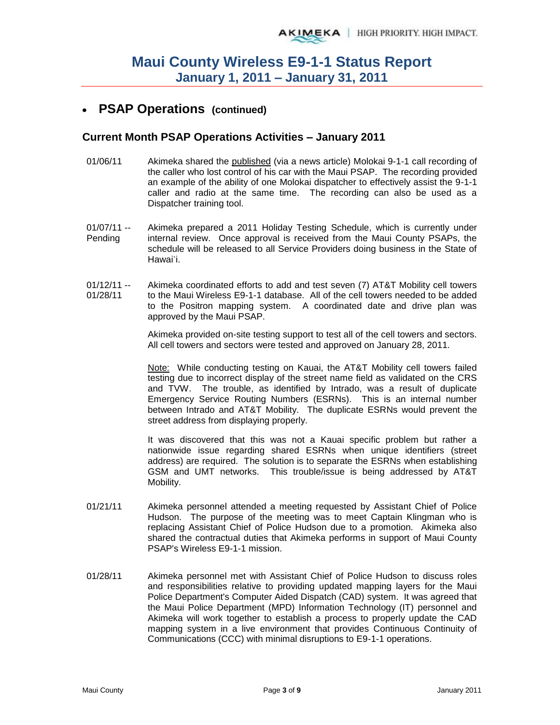## **PSAP Operations (continued)**

#### **Current Month PSAP Operations Activities – January 2011**

- 01/06/11 Akimeka shared the published (via a news article) Molokai 9-1-1 call recording of the caller who lost control of his car with the Maui PSAP. The recording provided an example of the ability of one Molokai dispatcher to effectively assist the 9-1-1 caller and radio at the same time. The recording can also be used as a Dispatcher training tool.
- $01/07/11 -$ Pending Akimeka prepared a 2011 Holiday Testing Schedule, which is currently under internal review. Once approval is received from the Maui County PSAPs, the schedule will be released to all Service Providers doing business in the State of Hawai`i.
- $01/12/11 -$ 01/28/11 Akimeka coordinated efforts to add and test seven (7) AT&T Mobility cell towers to the Maui Wireless E9-1-1 database. All of the cell towers needed to be added to the Positron mapping system. A coordinated date and drive plan was approved by the Maui PSAP.

Akimeka provided on-site testing support to test all of the cell towers and sectors. All cell towers and sectors were tested and approved on January 28, 2011.

Note: While conducting testing on Kauai, the AT&T Mobility cell towers failed testing due to incorrect display of the street name field as validated on the CRS and TVW. The trouble, as identified by Intrado, was a result of duplicate Emergency Service Routing Numbers (ESRNs). This is an internal number between Intrado and AT&T Mobility. The duplicate ESRNs would prevent the street address from displaying properly.

It was discovered that this was not a Kauai specific problem but rather a nationwide issue regarding shared ESRNs when unique identifiers (street address) are required. The solution is to separate the ESRNs when establishing GSM and UMT networks. This trouble/issue is being addressed by AT&T Mobility.

- 01/21/11 Akimeka personnel attended a meeting requested by Assistant Chief of Police Hudson. The purpose of the meeting was to meet Captain Klingman who is replacing Assistant Chief of Police Hudson due to a promotion. Akimeka also shared the contractual duties that Akimeka performs in support of Maui County PSAP's Wireless E9-1-1 mission.
- 01/28/11 Akimeka personnel met with Assistant Chief of Police Hudson to discuss roles and responsibilities relative to providing updated mapping layers for the Maui Police Department's Computer Aided Dispatch (CAD) system. It was agreed that the Maui Police Department (MPD) Information Technology (IT) personnel and Akimeka will work together to establish a process to properly update the CAD mapping system in a live environment that provides Continuous Continuity of Communications (CCC) with minimal disruptions to E9-1-1 operations.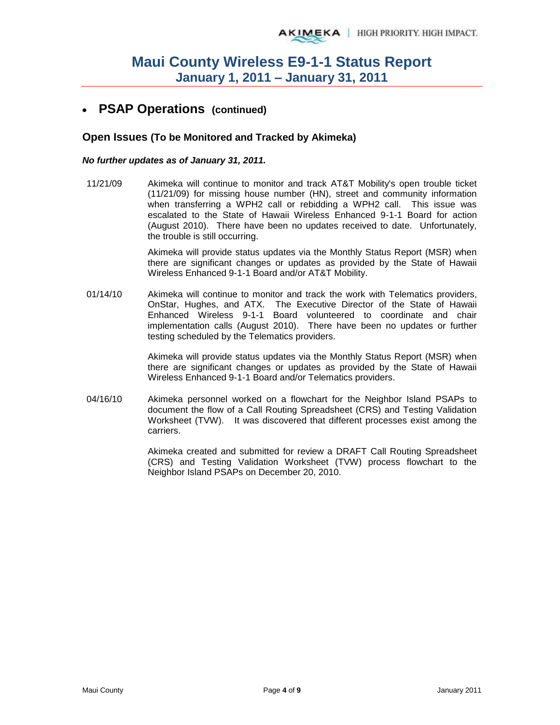### **PSAP Operations (continued)**

#### **Open Issues (To be Monitored and Tracked by Akimeka)**

#### *No further updates as of January 31, 2011.*

11/21/09 Akimeka will continue to monitor and track AT&T Mobility's open trouble ticket (11/21/09) for missing house number (HN), street and community information when transferring a WPH2 call or rebidding a WPH2 call. This issue was escalated to the State of Hawaii Wireless Enhanced 9-1-1 Board for action (August 2010). There have been no updates received to date. Unfortunately, the trouble is still occurring.

> Akimeka will provide status updates via the Monthly Status Report (MSR) when there are significant changes or updates as provided by the State of Hawaii Wireless Enhanced 9-1-1 Board and/or AT&T Mobility.

01/14/10 Akimeka will continue to monitor and track the work with Telematics providers, OnStar, Hughes, and ATX. The Executive Director of the State of Hawaii Enhanced Wireless 9-1-1 Board volunteered to coordinate and chair implementation calls (August 2010). There have been no updates or further testing scheduled by the Telematics providers.

> Akimeka will provide status updates via the Monthly Status Report (MSR) when there are significant changes or updates as provided by the State of Hawaii Wireless Enhanced 9-1-1 Board and/or Telematics providers.

04/16/10 Akimeka personnel worked on a flowchart for the Neighbor Island PSAPs to document the flow of a Call Routing Spreadsheet (CRS) and Testing Validation Worksheet (TVW). It was discovered that different processes exist among the carriers.

> Akimeka created and submitted for review a DRAFT Call Routing Spreadsheet (CRS) and Testing Validation Worksheet (TVW) process flowchart to the Neighbor Island PSAPs on December 20, 2010.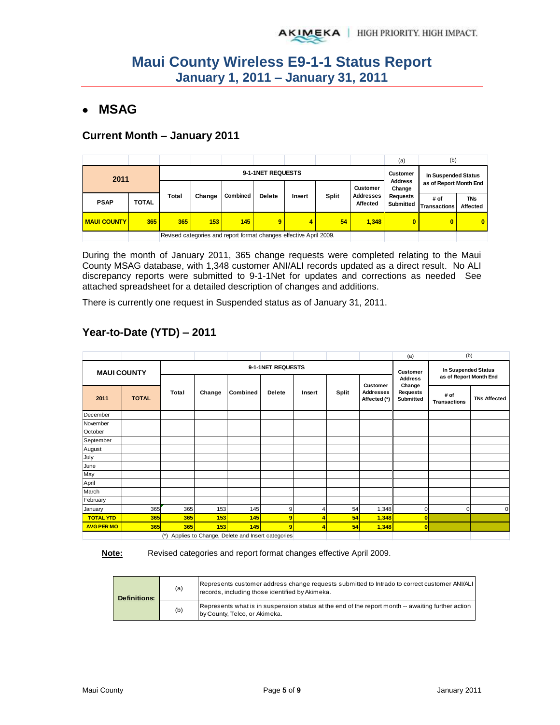## **MSAG**

#### **Current Month – January 2011**

|                    |       |                   |                                                                    |          |               |        |              |                              | (a)                          | (b)                         |                        |  |                          |                        |  |
|--------------------|-------|-------------------|--------------------------------------------------------------------|----------|---------------|--------|--------------|------------------------------|------------------------------|-----------------------------|------------------------|--|--------------------------|------------------------|--|
| 2011               |       | 9-1-1NET REQUESTS |                                                                    |          |               |        |              |                              |                              | In Suspended Status         |                        |  |                          |                        |  |
|                    |       |                   |                                                                    |          |               |        |              |                              |                              |                             | <b>Customer</b>        |  | <b>Address</b><br>Change | as of Report Month End |  |
| <b>PSAP</b>        | TOTAL | <b>Total</b>      | Change                                                             | Combined | <b>Delete</b> | Insert | <b>Split</b> | <b>Addresses</b><br>Affected | <b>Requests</b><br>Submitted | # of<br><b>Transactions</b> | <b>TNs</b><br>Affected |  |                          |                        |  |
| <b>MAUI COUNTY</b> | 365   | 365               | 153                                                                | 145      | 9             | 4      | 54           | 1.348                        | $\mathbf{0}$                 | $\bf{0}$                    | $\overline{0}$         |  |                          |                        |  |
|                    |       |                   | Revised categories and report format changes effective April 2009. |          |               |        |              |                              |                              |                             |                        |  |                          |                        |  |

During the month of January 2011, 365 change requests were completed relating to the Maui County MSAG database, with 1,348 customer ANI/ALI records updated as a direct result. No ALI discrepancy reports were submitted to 9-1-1Net for updates and corrections as needed See attached spreadsheet for a detailed description of changes and additions.

There is currently one request in Suspended status as of January 31, 2011.

|                    |              |       |        |                                                 |               |                                               |              |                                                     | (a)                                                      | (b)                         |                     |
|--------------------|--------------|-------|--------|-------------------------------------------------|---------------|-----------------------------------------------|--------------|-----------------------------------------------------|----------------------------------------------------------|-----------------------------|---------------------|
| <b>MAUI COUNTY</b> |              |       |        | 9-1-1NET REQUESTS                               | Customer      | In Suspended Status<br>as of Report Month End |              |                                                     |                                                          |                             |                     |
| 2011               | <b>TOTAL</b> | Total | Change | Combined                                        | <b>Delete</b> | Insert                                        | <b>Split</b> | <b>Customer</b><br><b>Addresses</b><br>Affected (*) | <b>Address</b><br>Change<br><b>Requests</b><br>Submitted | # of<br><b>Transactions</b> | <b>TNs Affected</b> |
| December           |              |       |        |                                                 |               |                                               |              |                                                     |                                                          |                             |                     |
| November           |              |       |        |                                                 |               |                                               |              |                                                     |                                                          |                             |                     |
| October            |              |       |        |                                                 |               |                                               |              |                                                     |                                                          |                             |                     |
| September          |              |       |        |                                                 |               |                                               |              |                                                     |                                                          |                             |                     |
| August             |              |       |        |                                                 |               |                                               |              |                                                     |                                                          |                             |                     |
| July               |              |       |        |                                                 |               |                                               |              |                                                     |                                                          |                             |                     |
| June               |              |       |        |                                                 |               |                                               |              |                                                     |                                                          |                             |                     |
| May                |              |       |        |                                                 |               |                                               |              |                                                     |                                                          |                             |                     |
| April              |              |       |        |                                                 |               |                                               |              |                                                     |                                                          |                             |                     |
| March              |              |       |        |                                                 |               |                                               |              |                                                     |                                                          |                             |                     |
| February           |              |       |        |                                                 |               |                                               |              |                                                     |                                                          |                             |                     |
| January            | 365          | 365   | 153    | 145                                             | 9             | 4                                             | 54           | 1,348                                               | U                                                        | $\mathbf 0$                 | n                   |
| <b>TOTAL YTD</b>   | 365          | 365   | 153    | 145                                             | 9             | 4                                             | 54           | 1,348                                               |                                                          |                             |                     |
| <b>AVG PER MO</b>  | 365          | 365   | 153    | 145                                             | 9             | 4                                             | 54           | 1,348                                               | $\overline{0}$                                           |                             |                     |
|                    |              | $(*)$ |        | Applies to Change, Delete and Insert categories |               |                                               |              |                                                     |                                                          |                             |                     |

## **Year-to-Date (YTD) – 2011**

**Note:** Revised categories and report format changes effective April 2009.

| <b>Definitions:</b> | (a) | Represents customer address change requests submitted to Intrado to correct customer ANI/ALI<br>records, including those identified by Akimeka. |
|---------------------|-----|-------------------------------------------------------------------------------------------------------------------------------------------------|
|                     | (b) | Represents what is in suspension status at the end of the report month -- awaiting further action<br>by County, Telco, or Akimeka.              |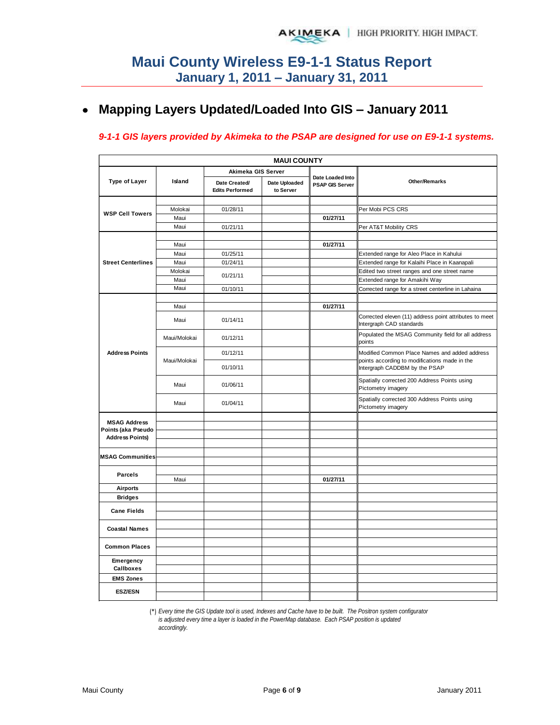#### **Mapping Layers Updated/Loaded Into GIS – January 2011**   $\bullet$

#### *9-1-1 GIS layers provided by Akimeka to the PSAP are designed for use on E9-1-1 systems.*

| <b>MAUI COUNTY</b>                        |              |                                         |                            |                                     |                                                                                                |  |  |  |  |  |  |
|-------------------------------------------|--------------|-----------------------------------------|----------------------------|-------------------------------------|------------------------------------------------------------------------------------------------|--|--|--|--|--|--|
|                                           |              | Akimeka GIS Server                      |                            |                                     |                                                                                                |  |  |  |  |  |  |
| Type of Layer                             | Island       | Date Created/<br><b>Edits Performed</b> | Date Uploaded<br>to Server | Date Loaded Into<br>PSAP GIS Server | <b>Other/Remarks</b>                                                                           |  |  |  |  |  |  |
|                                           |              |                                         |                            |                                     |                                                                                                |  |  |  |  |  |  |
| <b>WSP Cell Towers</b>                    | Molokai      | 01/28/11                                |                            |                                     | Per Mobi PCS CRS                                                                               |  |  |  |  |  |  |
|                                           | Maui         |                                         |                            | 01/27/11                            |                                                                                                |  |  |  |  |  |  |
|                                           | Maui         | 01/21/11                                |                            |                                     | Per AT&T Mobility CRS                                                                          |  |  |  |  |  |  |
|                                           |              |                                         |                            |                                     |                                                                                                |  |  |  |  |  |  |
|                                           | Maui         |                                         |                            | 01/27/11                            |                                                                                                |  |  |  |  |  |  |
|                                           | Maui         | 01/25/11                                |                            |                                     | Extended range for Aleo Place in Kahului                                                       |  |  |  |  |  |  |
| <b>Street Centerlines</b>                 | Maui         | 01/24/11                                |                            |                                     | Extended range for Kalaihi Place in Kaanapali                                                  |  |  |  |  |  |  |
|                                           | Molokai      | 01/21/11                                |                            |                                     | Edited two street ranges and one street name                                                   |  |  |  |  |  |  |
|                                           | Maui         |                                         |                            |                                     | Extended range for Amakihi Way                                                                 |  |  |  |  |  |  |
|                                           | Maui         | 01/10/11                                |                            |                                     | Corrected range for a street centerline in Lahaina                                             |  |  |  |  |  |  |
|                                           |              |                                         |                            |                                     |                                                                                                |  |  |  |  |  |  |
|                                           | Maui         |                                         |                            | 01/27/11                            |                                                                                                |  |  |  |  |  |  |
| <b>Address Points</b>                     | Maui         | 01/14/11                                |                            |                                     | Corrected eleven (11) address point attributes to meet<br>Intergraph CAD standards             |  |  |  |  |  |  |
|                                           | Maui/Molokai | 01/12/11                                |                            |                                     | Populated the MSAG Community field for all address<br>points                                   |  |  |  |  |  |  |
|                                           | Maui/Molokai | 01/12/11                                |                            |                                     | Modified Common Place Names and added address<br>points according to modifications made in the |  |  |  |  |  |  |
|                                           |              | 01/10/11                                |                            |                                     | Intergraph CADDBM by the PSAP                                                                  |  |  |  |  |  |  |
|                                           | Maui         | 01/06/11                                |                            |                                     | Spatially corrected 200 Address Points using<br>Pictometry imagery                             |  |  |  |  |  |  |
|                                           | Maui         | 01/04/11                                |                            |                                     | Spatially corrected 300 Address Points using<br>Pictometry imagery                             |  |  |  |  |  |  |
|                                           |              |                                         |                            |                                     |                                                                                                |  |  |  |  |  |  |
| <b>MSAG Address</b><br>Points (aka Pseudo |              |                                         |                            |                                     |                                                                                                |  |  |  |  |  |  |
| <b>Address Points)</b>                    |              |                                         |                            |                                     |                                                                                                |  |  |  |  |  |  |
|                                           |              |                                         |                            |                                     |                                                                                                |  |  |  |  |  |  |
| <b>MSAG Communities</b>                   |              |                                         |                            |                                     |                                                                                                |  |  |  |  |  |  |
|                                           |              |                                         |                            |                                     |                                                                                                |  |  |  |  |  |  |
| <b>Parcels</b>                            |              |                                         |                            |                                     |                                                                                                |  |  |  |  |  |  |
|                                           | Maui         |                                         |                            | 01/27/11                            |                                                                                                |  |  |  |  |  |  |
| <b>Airports</b>                           |              |                                         |                            |                                     |                                                                                                |  |  |  |  |  |  |
| <b>Bridges</b>                            |              |                                         |                            |                                     |                                                                                                |  |  |  |  |  |  |
| <b>Cane Fields</b>                        |              |                                         |                            |                                     |                                                                                                |  |  |  |  |  |  |
|                                           |              |                                         |                            |                                     |                                                                                                |  |  |  |  |  |  |
| <b>Coastal Names</b>                      |              |                                         |                            |                                     |                                                                                                |  |  |  |  |  |  |
|                                           |              |                                         |                            |                                     |                                                                                                |  |  |  |  |  |  |
| <b>Common Places</b>                      |              |                                         |                            |                                     |                                                                                                |  |  |  |  |  |  |
| Emergency<br>Callboxes                    |              |                                         |                            |                                     |                                                                                                |  |  |  |  |  |  |
| <b>EMS Zones</b>                          |              |                                         |                            |                                     |                                                                                                |  |  |  |  |  |  |
|                                           |              |                                         |                            |                                     |                                                                                                |  |  |  |  |  |  |
| <b>ESZ/ESN</b>                            |              |                                         |                            |                                     |                                                                                                |  |  |  |  |  |  |

(\*) *Every time the GIS Update tool is used, Indexes and Cache have to be built. The Positron system configurator is adjusted every time a layer is loaded in the PowerMap database. Each PSAP position is updated accordingly.*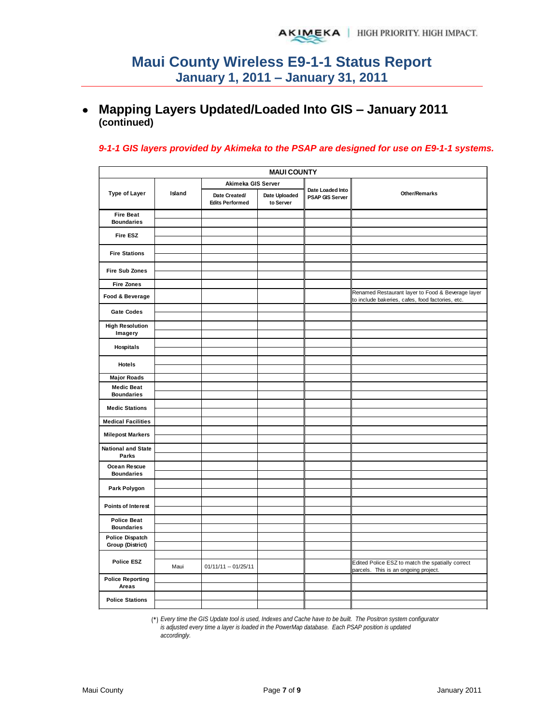## **Mapping Layers Updated/Loaded Into GIS – January 2011 (continued)**

#### *9-1-1 GIS layers provided by Akimeka to the PSAP are designed for use on E9-1-1 systems.*

| <b>MAUI COUNTY</b>                      |        |                                         |                            |                                     |                                                                                                       |  |  |  |  |  |
|-----------------------------------------|--------|-----------------------------------------|----------------------------|-------------------------------------|-------------------------------------------------------------------------------------------------------|--|--|--|--|--|
|                                         |        | Akimeka GIS Server                      |                            |                                     |                                                                                                       |  |  |  |  |  |
| <b>Type of Layer</b>                    | Island | Date Created/<br><b>Edits Performed</b> | Date Uploaded<br>to Server | Date Loaded Into<br>PSAP GIS Server | Other/Remarks                                                                                         |  |  |  |  |  |
| <b>Fire Beat</b>                        |        |                                         |                            |                                     |                                                                                                       |  |  |  |  |  |
| <b>Boundaries</b>                       |        |                                         |                            |                                     |                                                                                                       |  |  |  |  |  |
| Fire ESZ                                |        |                                         |                            |                                     |                                                                                                       |  |  |  |  |  |
| <b>Fire Stations</b>                    |        |                                         |                            |                                     |                                                                                                       |  |  |  |  |  |
| <b>Fire Sub Zones</b>                   |        |                                         |                            |                                     |                                                                                                       |  |  |  |  |  |
| <b>Fire Zones</b>                       |        |                                         |                            |                                     |                                                                                                       |  |  |  |  |  |
| Food & Beverage                         |        |                                         |                            |                                     | Renamed Restaurant layer to Food & Beverage layer<br>to include bakeries, cafes, food factories, etc. |  |  |  |  |  |
| <b>Gate Codes</b>                       |        |                                         |                            |                                     |                                                                                                       |  |  |  |  |  |
| <b>High Resolution</b><br>Imagery       |        |                                         |                            |                                     |                                                                                                       |  |  |  |  |  |
|                                         |        |                                         |                            |                                     |                                                                                                       |  |  |  |  |  |
| <b>Hospitals</b>                        |        |                                         |                            |                                     |                                                                                                       |  |  |  |  |  |
| <b>Hotels</b>                           |        |                                         |                            |                                     |                                                                                                       |  |  |  |  |  |
| <b>Major Roads</b>                      |        |                                         |                            |                                     |                                                                                                       |  |  |  |  |  |
| <b>Medic Beat</b><br><b>Boundaries</b>  |        |                                         |                            |                                     |                                                                                                       |  |  |  |  |  |
|                                         |        |                                         |                            |                                     |                                                                                                       |  |  |  |  |  |
| <b>Medic Stations</b>                   |        |                                         |                            |                                     |                                                                                                       |  |  |  |  |  |
| <b>Medical Facilities</b>               |        |                                         |                            |                                     |                                                                                                       |  |  |  |  |  |
| <b>Milepost Markers</b>                 |        |                                         |                            |                                     |                                                                                                       |  |  |  |  |  |
| <b>National and State</b><br>Parks      |        |                                         |                            |                                     |                                                                                                       |  |  |  |  |  |
| Ocean Rescue                            |        |                                         |                            |                                     |                                                                                                       |  |  |  |  |  |
| <b>Boundaries</b>                       |        |                                         |                            |                                     |                                                                                                       |  |  |  |  |  |
| Park Polygon                            |        |                                         |                            |                                     |                                                                                                       |  |  |  |  |  |
| <b>Points of Interest</b>               |        |                                         |                            |                                     |                                                                                                       |  |  |  |  |  |
| <b>Police Beat</b><br><b>Boundaries</b> |        |                                         |                            |                                     |                                                                                                       |  |  |  |  |  |
| <b>Police Dispatch</b>                  |        |                                         |                            |                                     |                                                                                                       |  |  |  |  |  |
| <b>Group (District)</b>                 |        |                                         |                            |                                     |                                                                                                       |  |  |  |  |  |
| <b>Police ESZ</b>                       |        |                                         |                            |                                     |                                                                                                       |  |  |  |  |  |
|                                         | Maui   | $01/11/11 - 01/25/11$                   |                            |                                     | Edited Police ESZ to match the spatially correct<br>parcels. This is an ongoing project.              |  |  |  |  |  |
| <b>Police Reporting</b><br>Areas        |        |                                         |                            |                                     |                                                                                                       |  |  |  |  |  |
| <b>Police Stations</b>                  |        |                                         |                            |                                     |                                                                                                       |  |  |  |  |  |

(\*) *Every time the GIS Update tool is used, Indexes and Cache have to be built. The Positron system configurator is adjusted every time a layer is loaded in the PowerMap database. Each PSAP position is updated accordingly.*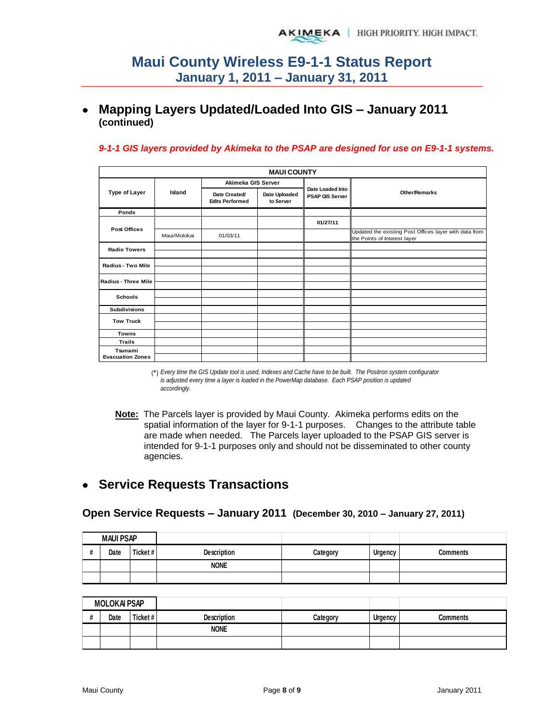## **Mapping Layers Updated/Loaded Into GIS – January 2011 (continued)**

#### *9-1-1 GIS layers provided by Akimeka to the PSAP are designed for use on E9-1-1 systems.*

| <b>MAUI COUNTY</b>         |                                                                                                       |                        |                      |                  |                                                                                        |  |  |  |
|----------------------------|-------------------------------------------------------------------------------------------------------|------------------------|----------------------|------------------|----------------------------------------------------------------------------------------|--|--|--|
|                            | Akimeka GIS Server<br>Island<br>Date Uploaded<br>Date Created/<br><b>Edits Performed</b><br>to Server |                        |                      | Date Loaded Into |                                                                                        |  |  |  |
| <b>Type of Layer</b>       |                                                                                                       | <b>PSAP GIS Server</b> | <b>Other/Remarks</b> |                  |                                                                                        |  |  |  |
| Ponds                      |                                                                                                       |                        |                      |                  |                                                                                        |  |  |  |
|                            |                                                                                                       |                        |                      | 01/27/11         |                                                                                        |  |  |  |
| <b>Post Offices</b>        | Maui/Molokai                                                                                          | 01/03/11               |                      |                  | Updated the existing Post Offices layer with data from<br>the Points of Interest layer |  |  |  |
| <b>Radio Towers</b>        |                                                                                                       |                        |                      |                  |                                                                                        |  |  |  |
| <b>Radius - Two Mile</b>   |                                                                                                       |                        |                      |                  |                                                                                        |  |  |  |
|                            |                                                                                                       |                        |                      |                  |                                                                                        |  |  |  |
| <b>Radius - Three Mile</b> |                                                                                                       |                        |                      |                  |                                                                                        |  |  |  |
| <b>Schools</b>             |                                                                                                       |                        |                      |                  |                                                                                        |  |  |  |
| <b>Subdivisions</b>        |                                                                                                       |                        |                      |                  |                                                                                        |  |  |  |
| <b>Tow Truck</b>           |                                                                                                       |                        |                      |                  |                                                                                        |  |  |  |
|                            |                                                                                                       |                        |                      |                  |                                                                                        |  |  |  |
| <b>Towns</b>               |                                                                                                       |                        |                      |                  |                                                                                        |  |  |  |
| <b>Trails</b>              |                                                                                                       |                        |                      |                  |                                                                                        |  |  |  |
| Tsunami                    |                                                                                                       |                        |                      |                  |                                                                                        |  |  |  |
| <b>Evacuation Zones</b>    |                                                                                                       |                        |                      |                  |                                                                                        |  |  |  |

(\*) *Every time the GIS Update tool is used, Indexes and Cache have to be built. The Positron system configurator is adjusted every time a layer is loaded in the PowerMap database. Each PSAP position is updated accordingly.*

**Note:** The Parcels layer is provided by Maui County. Akimeka performs edits on the spatial information of the layer for 9-1-1 purposes. Changes to the attribute table are made when needed. The Parcels layer uploaded to the PSAP GIS server is intended for 9-1-1 purposes only and should not be disseminated to other county agencies.

## **Service Requests Transactions**

#### **Open Service Requests – January 2011 (December 30, 2010 – January 27, 2011)**

|   | <b>MAUI PSAP</b> |          |                    |          |         |                 |
|---|------------------|----------|--------------------|----------|---------|-----------------|
| # | Date             | Ticket # | <b>Description</b> | Category | Urgency | <b>Comments</b> |
|   |                  |          | <b>NONE</b>        |          |         |                 |
|   |                  |          |                    |          |         |                 |

| <b>MOLOKAI PSAP</b> |         |                    |          |                |                 |
|---------------------|---------|--------------------|----------|----------------|-----------------|
| Date                | Ticket# | <b>Description</b> | Categorv | <b>Urgency</b> | <b>Comments</b> |
|                     |         | <b>NONE</b>        |          |                |                 |
|                     |         |                    |          |                |                 |